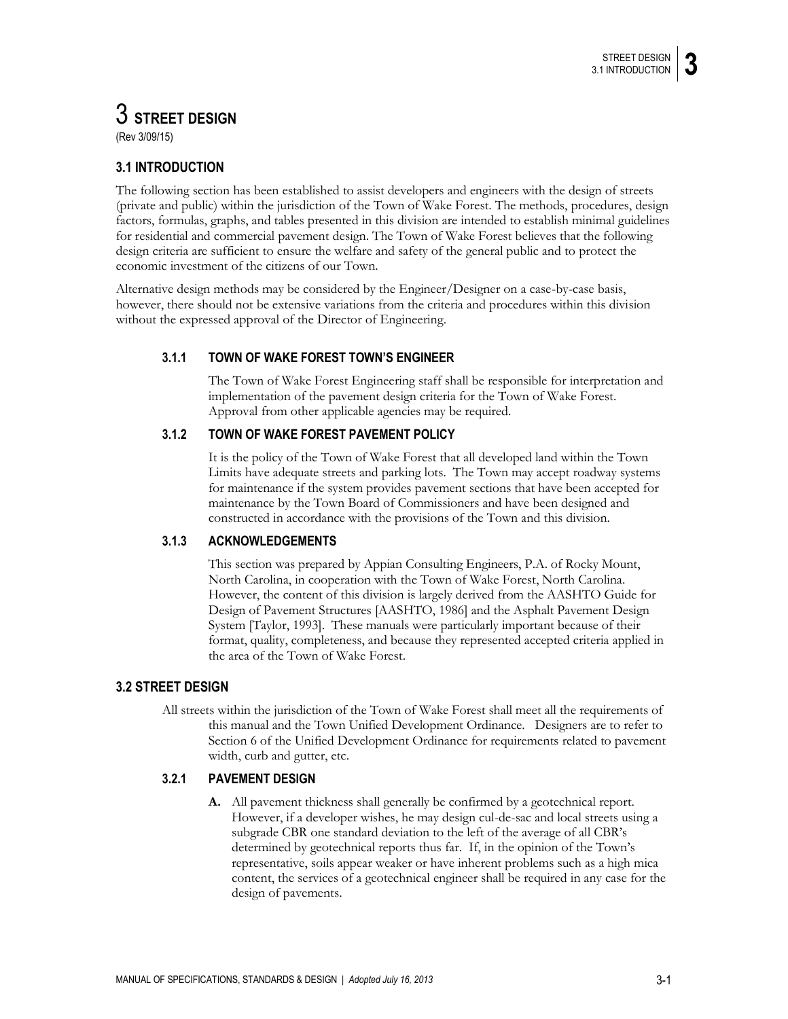# 3 **STREET DESIGN** (Rev 3/09/15)

# **3.1 INTRODUCTION**

The following section has been established to assist developers and engineers with the design of streets (private and public) within the jurisdiction of the Town of Wake Forest. The methods, procedures, design factors, formulas, graphs, and tables presented in this division are intended to establish minimal guidelines for residential and commercial pavement design. The Town of Wake Forest believes that the following design criteria are sufficient to ensure the welfare and safety of the general public and to protect the economic investment of the citizens of our Town.

Alternative design methods may be considered by the Engineer/Designer on a case-by-case basis, however, there should not be extensive variations from the criteria and procedures within this division without the expressed approval of the Director of Engineering.

# **3.1.1 TOWN OF WAKE FOREST TOWN'S ENGINEER**

The Town of Wake Forest Engineering staff shall be responsible for interpretation and implementation of the pavement design criteria for the Town of Wake Forest. Approval from other applicable agencies may be required.

# **3.1.2 TOWN OF WAKE FOREST PAVEMENT POLICY**

It is the policy of the Town of Wake Forest that all developed land within the Town Limits have adequate streets and parking lots. The Town may accept roadway systems for maintenance if the system provides pavement sections that have been accepted for maintenance by the Town Board of Commissioners and have been designed and constructed in accordance with the provisions of the Town and this division.

# **3.1.3 ACKNOWLEDGEMENTS**

This section was prepared by Appian Consulting Engineers, P.A. of Rocky Mount, North Carolina, in cooperation with the Town of Wake Forest, North Carolina. However, the content of this division is largely derived from the AASHTO Guide for Design of Pavement Structures [AASHTO, 1986] and the Asphalt Pavement Design System [Taylor, 1993]. These manuals were particularly important because of their format, quality, completeness, and because they represented accepted criteria applied in the area of the Town of Wake Forest.

# **3.2 STREET DESIGN**

All streets within the jurisdiction of the Town of Wake Forest shall meet all the requirements of this manual and the Town Unified Development Ordinance. Designers are to refer to Section 6 of the Unified Development Ordinance for requirements related to pavement width, curb and gutter, etc.

# **3.2.1 PAVEMENT DESIGN**

**A.** All pavement thickness shall generally be confirmed by a geotechnical report. However, if a developer wishes, he may design cul-de-sac and local streets using a subgrade CBR one standard deviation to the left of the average of all CBR's determined by geotechnical reports thus far. If, in the opinion of the Town's representative, soils appear weaker or have inherent problems such as a high mica content, the services of a geotechnical engineer shall be required in any case for the design of pavements.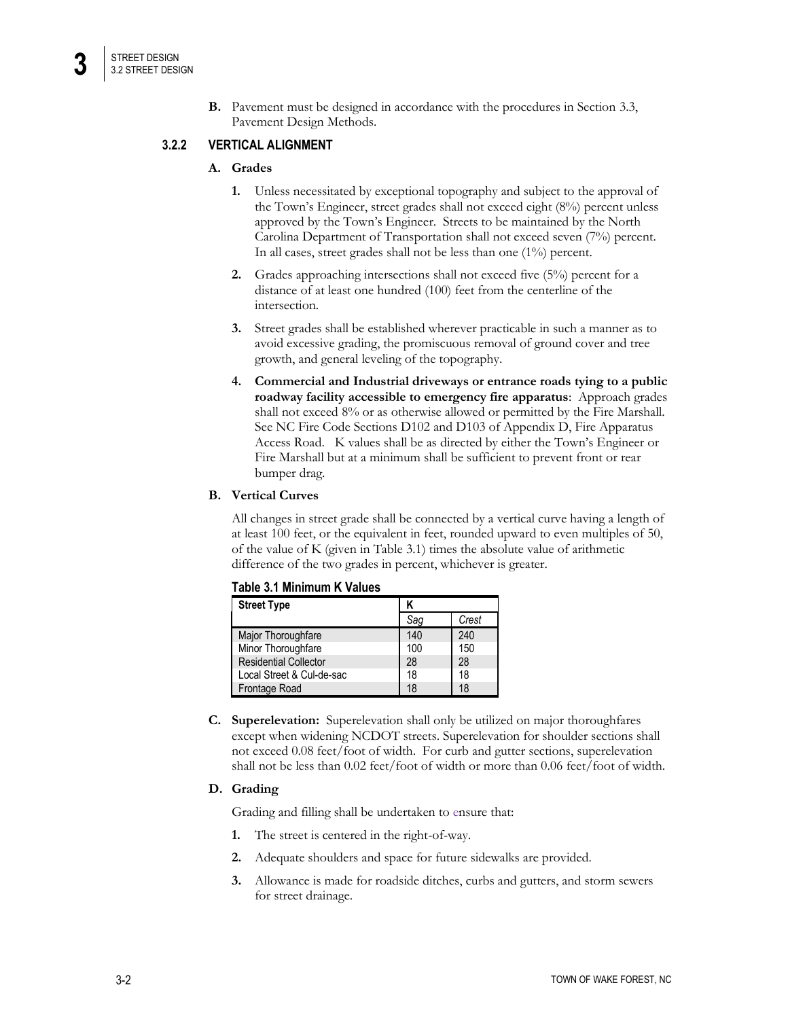**B.** Pavement must be designed in accordance with the procedures in Section 3.3, Pavement Design Methods.

# **3.2.2 VERTICAL ALIGNMENT**

# **A. Grades**

- **1.** Unless necessitated by exceptional topography and subject to the approval of the Town's Engineer, street grades shall not exceed eight (8%) percent unless approved by the Town's Engineer. Streets to be maintained by the North Carolina Department of Transportation shall not exceed seven (7%) percent. In all cases, street grades shall not be less than one (1%) percent.
- **2.** Grades approaching intersections shall not exceed five (5%) percent for a distance of at least one hundred (100) feet from the centerline of the intersection.
- **3.** Street grades shall be established wherever practicable in such a manner as to avoid excessive grading, the promiscuous removal of ground cover and tree growth, and general leveling of the topography.
- **4. Commercial and Industrial driveways or entrance roads tying to a public roadway facility accessible to emergency fire apparatus**: Approach grades shall not exceed 8% or as otherwise allowed or permitted by the Fire Marshall. See NC Fire Code Sections D102 and D103 of Appendix D, Fire Apparatus Access Road. K values shall be as directed by either the Town's Engineer or Fire Marshall but at a minimum shall be sufficient to prevent front or rear bumper drag.

### **B. Vertical Curves**

All changes in street grade shall be connected by a vertical curve having a length of at least 100 feet, or the equivalent in feet, rounded upward to even multiples of 50, of the value of K (given in Table 3.1) times the absolute value of arithmetic difference of the two grades in percent, whichever is greater.

| <b>Street Type</b>           |     |       |
|------------------------------|-----|-------|
|                              | Saq | Crest |
| Major Thoroughfare           | 140 | 240   |
| Minor Thoroughfare           | 100 | 150   |
| <b>Residential Collector</b> | 28  | 28    |
| Local Street & Cul-de-sac    | 18  | 18    |
| Frontage Road                | 18  | 18    |

| Table 3.1 Minimum K Values |  |  |  |  |  |
|----------------------------|--|--|--|--|--|
|----------------------------|--|--|--|--|--|

**C. Superelevation:** Superelevation shall only be utilized on major thoroughfares except when widening NCDOT streets. Superelevation for shoulder sections shall not exceed 0.08 feet/foot of width. For curb and gutter sections, superelevation shall not be less than 0.02 feet/foot of width or more than 0.06 feet/foot of width.

# **D. Grading**

Grading and filling shall be undertaken to ensure that:

- **1.** The street is centered in the right-of-way.
- **2.** Adequate shoulders and space for future sidewalks are provided.
- **3.** Allowance is made for roadside ditches, curbs and gutters, and storm sewers for street drainage.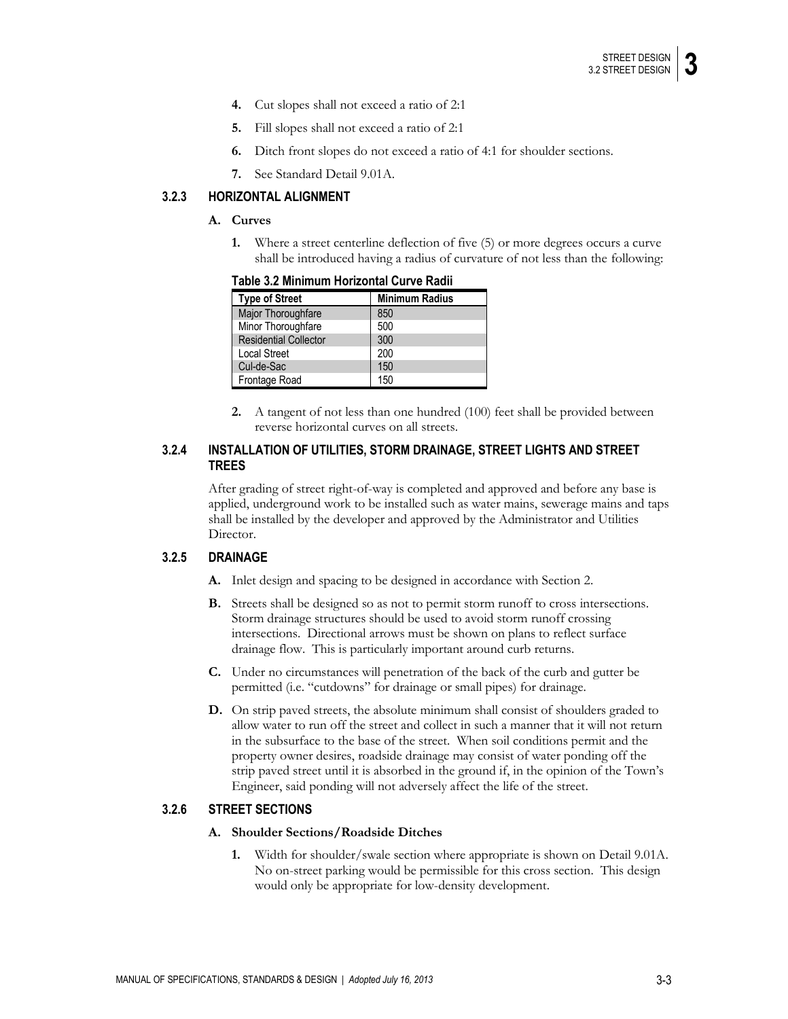- **4.** Cut slopes shall not exceed a ratio of 2:1
- **5.** Fill slopes shall not exceed a ratio of 2:1
- **6.** Ditch front slopes do not exceed a ratio of 4:1 for shoulder sections.
- **7.** See Standard Detail 9.01A.

# **3.2.3 HORIZONTAL ALIGNMENT**

#### **A. Curves**

**1.** Where a street centerline deflection of five (5) or more degrees occurs a curve shall be introduced having a radius of curvature of not less than the following:

| <b>Type of Street</b>        | <b>Minimum Radius</b> |  |  |
|------------------------------|-----------------------|--|--|
| Major Thoroughfare           | 850                   |  |  |
| Minor Thoroughfare           | 500                   |  |  |
| <b>Residential Collector</b> | 300                   |  |  |
| <b>Local Street</b>          | 200                   |  |  |
| Cul-de-Sac                   | 150                   |  |  |
| Frontage Road                | 150                   |  |  |

### **Table 3.2 Minimum Horizontal Curve Radii**

**2.** A tangent of not less than one hundred (100) feet shall be provided between reverse horizontal curves on all streets.

## **3.2.4 INSTALLATION OF UTILITIES, STORM DRAINAGE, STREET LIGHTS AND STREET TREES**

After grading of street right-of-way is completed and approved and before any base is applied, underground work to be installed such as water mains, sewerage mains and taps shall be installed by the developer and approved by the Administrator and Utilities Director.

### **3.2.5 DRAINAGE**

- **A.** Inlet design and spacing to be designed in accordance with Section 2.
- **B.** Streets shall be designed so as not to permit storm runoff to cross intersections. Storm drainage structures should be used to avoid storm runoff crossing intersections. Directional arrows must be shown on plans to reflect surface drainage flow. This is particularly important around curb returns.
- **C.** Under no circumstances will penetration of the back of the curb and gutter be permitted (i.e. "cutdowns" for drainage or small pipes) for drainage.
- **D.** On strip paved streets, the absolute minimum shall consist of shoulders graded to allow water to run off the street and collect in such a manner that it will not return in the subsurface to the base of the street. When soil conditions permit and the property owner desires, roadside drainage may consist of water ponding off the strip paved street until it is absorbed in the ground if, in the opinion of the Town's Engineer, said ponding will not adversely affect the life of the street.

#### **3.2.6 STREET SECTIONS**

#### **A. Shoulder Sections/Roadside Ditches**

**1.** Width for shoulder/swale section where appropriate is shown on Detail 9.01A. No on-street parking would be permissible for this cross section. This design would only be appropriate for low-density development.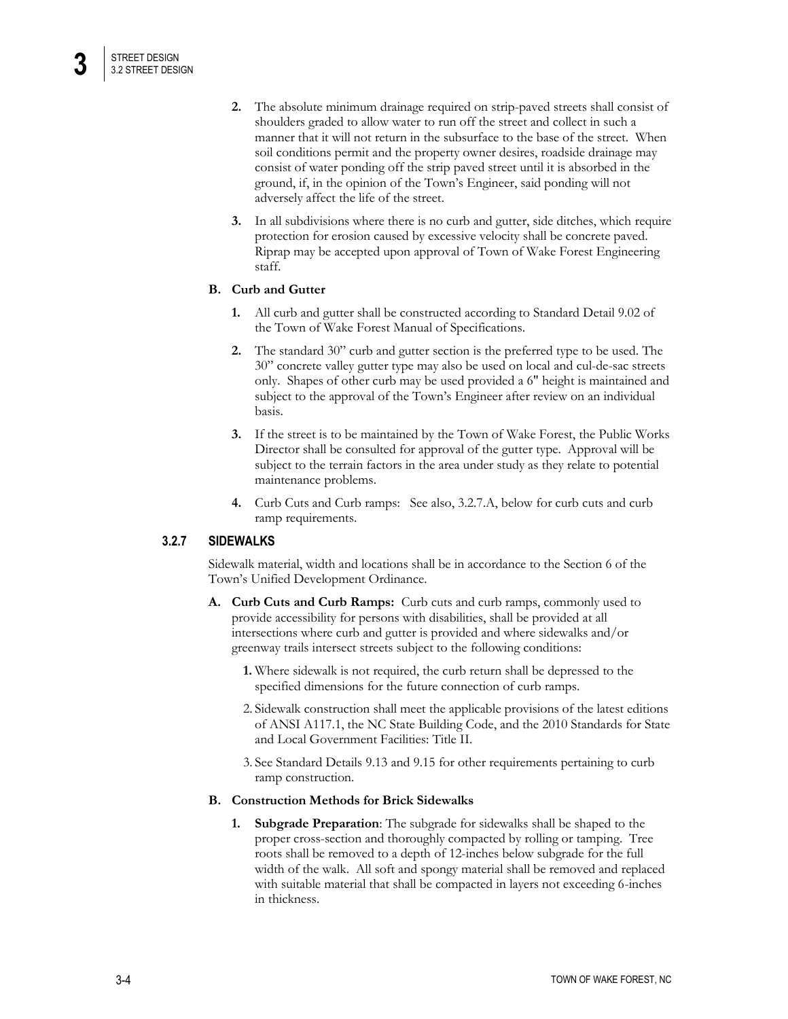- **2.** The absolute minimum drainage required on strip-paved streets shall consist of shoulders graded to allow water to run off the street and collect in such a manner that it will not return in the subsurface to the base of the street. When soil conditions permit and the property owner desires, roadside drainage may consist of water ponding off the strip paved street until it is absorbed in the ground, if, in the opinion of the Town's Engineer, said ponding will not adversely affect the life of the street.
- **3.** In all subdivisions where there is no curb and gutter, side ditches, which require protection for erosion caused by excessive velocity shall be concrete paved. Riprap may be accepted upon approval of Town of Wake Forest Engineering staff.

# **B. Curb and Gutter**

- **1.** All curb and gutter shall be constructed according to Standard Detail 9.02 of the Town of Wake Forest Manual of Specifications.
- **2.** The standard 30" curb and gutter section is the preferred type to be used. The 30" concrete valley gutter type may also be used on local and cul-de-sac streets only. Shapes of other curb may be used provided a 6" height is maintained and subject to the approval of the Town's Engineer after review on an individual basis.
- **3.** If the street is to be maintained by the Town of Wake Forest, the Public Works Director shall be consulted for approval of the gutter type. Approval will be subject to the terrain factors in the area under study as they relate to potential maintenance problems.
- **4.** Curb Cuts and Curb ramps: See also, 3.2.7.A, below for curb cuts and curb ramp requirements.

# **3.2.7 SIDEWALKS**

Sidewalk material, width and locations shall be in accordance to the Section 6 of the Town's Unified Development Ordinance.

- **A. Curb Cuts and Curb Ramps:** Curb cuts and curb ramps, commonly used to provide accessibility for persons with disabilities, shall be provided at all intersections where curb and gutter is provided and where sidewalks and/or greenway trails intersect streets subject to the following conditions:
	- **1.** Where sidewalk is not required, the curb return shall be depressed to the specified dimensions for the future connection of curb ramps.
	- 2. Sidewalk construction shall meet the applicable provisions of the latest editions of ANSI A117.1, the NC State Building Code, and the 2010 Standards for State and Local Government Facilities: Title II.
	- 3. See Standard Details 9.13 and 9.15 for other requirements pertaining to curb ramp construction.

### **B. Construction Methods for Brick Sidewalks**

**1. Subgrade Preparation**: The subgrade for sidewalks shall be shaped to the proper cross-section and thoroughly compacted by rolling or tamping. Tree roots shall be removed to a depth of 12-inches below subgrade for the full width of the walk. All soft and spongy material shall be removed and replaced with suitable material that shall be compacted in layers not exceeding 6-inches in thickness.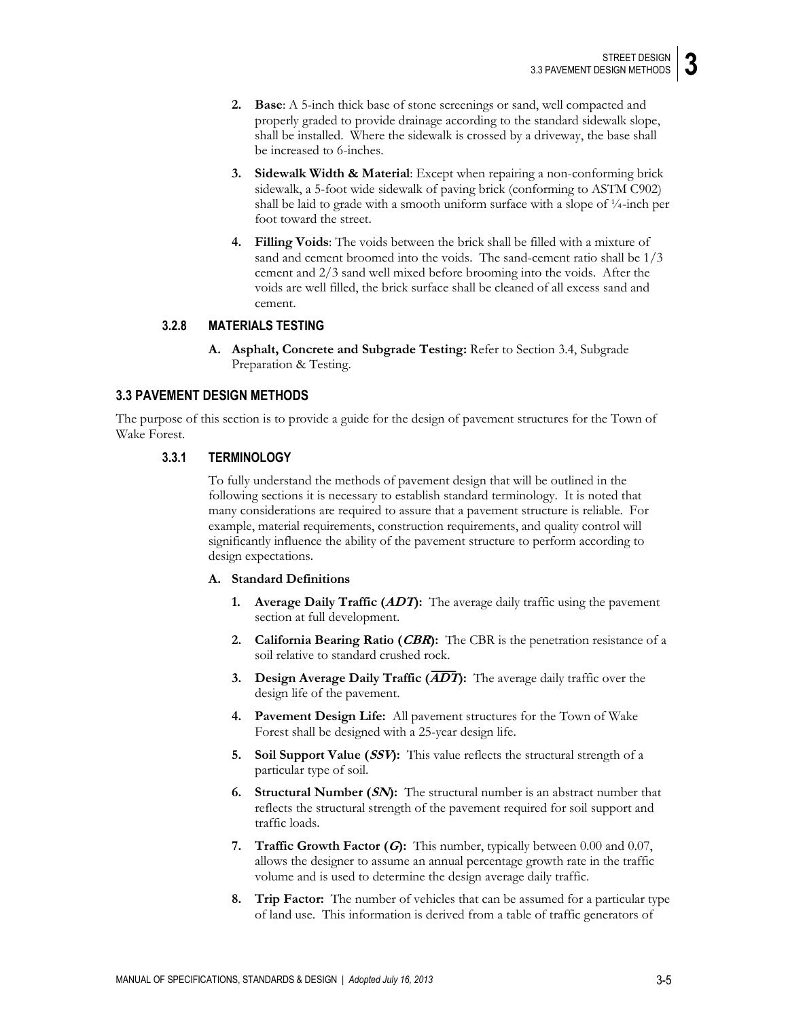- **2. Base**: A 5-inch thick base of stone screenings or sand, well compacted and properly graded to provide drainage according to the standard sidewalk slope, shall be installed. Where the sidewalk is crossed by a driveway, the base shall be increased to 6-inches.
- **3. Sidewalk Width & Material**: Except when repairing a non-conforming brick sidewalk, a 5-foot wide sidewalk of paving brick (conforming to ASTM C902) shall be laid to grade with a smooth uniform surface with a slope of ¼-inch per foot toward the street.
- **4. Filling Voids**: The voids between the brick shall be filled with a mixture of sand and cement broomed into the voids. The sand-cement ratio shall be 1/3 cement and 2/3 sand well mixed before brooming into the voids. After the voids are well filled, the brick surface shall be cleaned of all excess sand and cement.

### **3.2.8 MATERIALS TESTING**

**A. Asphalt, Concrete and Subgrade Testing:** Refer to Section 3.4, Subgrade Preparation & Testing.

# **3.3 PAVEMENT DESIGN METHODS**

The purpose of this section is to provide a guide for the design of pavement structures for the Town of Wake Forest.

#### **3.3.1 TERMINOLOGY**

To fully understand the methods of pavement design that will be outlined in the following sections it is necessary to establish standard terminology. It is noted that many considerations are required to assure that a pavement structure is reliable. For example, material requirements, construction requirements, and quality control will significantly influence the ability of the pavement structure to perform according to design expectations.

#### **A. Standard Definitions**

- **1. Average Daily Traffic (ADT):** The average daily traffic using the pavement section at full development.
- **2. California Bearing Ratio (CBR):** The CBR is the penetration resistance of a soil relative to standard crushed rock.
- **3. Design Average Daily Traffic (ADT):** The average daily traffic over the design life of the pavement.
- **4. Pavement Design Life:** All pavement structures for the Town of Wake Forest shall be designed with a 25-year design life.
- **5. Soil Support Value (SSV):** This value reflects the structural strength of a particular type of soil.
- **6. Structural Number (SN):** The structural number is an abstract number that reflects the structural strength of the pavement required for soil support and traffic loads.
- **7. Traffic Growth Factor (G):** This number, typically between 0.00 and 0.07, allows the designer to assume an annual percentage growth rate in the traffic volume and is used to determine the design average daily traffic.
- **8. Trip Factor:** The number of vehicles that can be assumed for a particular type of land use. This information is derived from a table of traffic generators of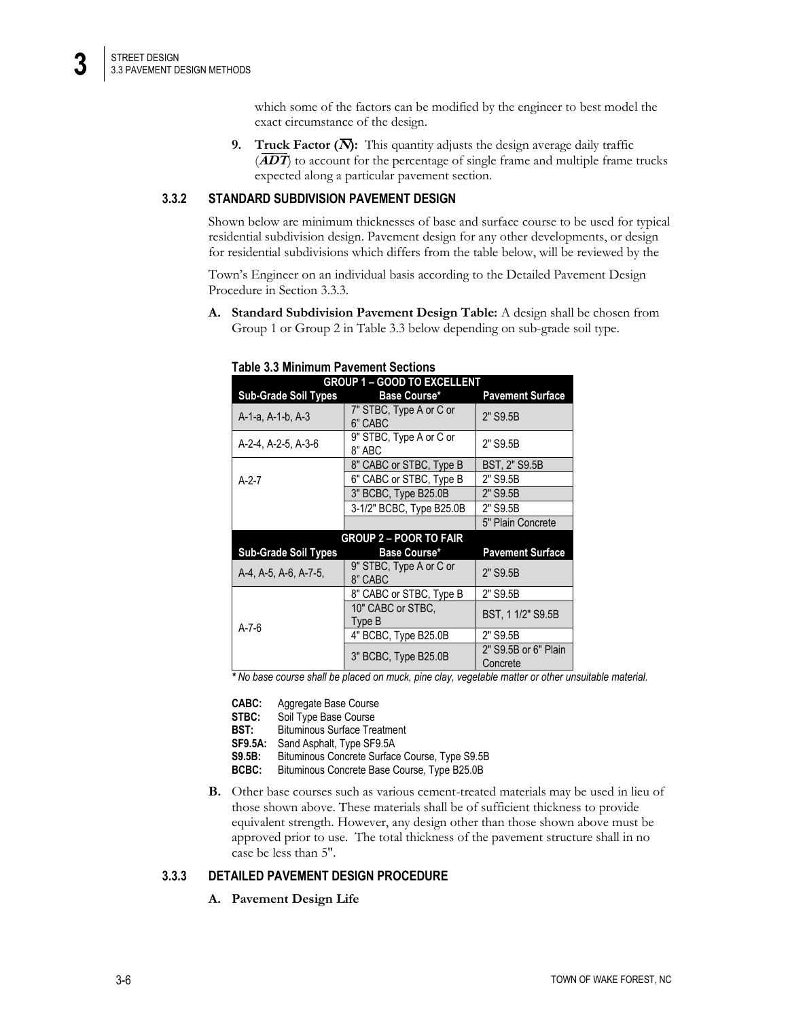which some of the factors can be modified by the engineer to best model the exact circumstance of the design.

**9. Truck Factor (** $\overline{N}$ **):** This quantity adjusts the design average daily traffic  $\overline{(ADT)}$  to account for the percentage of single frame and multiple frame trucks expected along a particular pavement section.

# **3.3.2 STANDARD SUBDIVISION PAVEMENT DESIGN**

Shown below are minimum thicknesses of base and surface course to be used for typical residential subdivision design. Pavement design for any other developments, or design for residential subdivisions which differs from the table below, will be reviewed by the

Town's Engineer on an individual basis according to the Detailed Pavement Design Procedure in Section 3.3.3.

**A. Standard Subdivision Pavement Design Table:** A design shall be chosen from Group 1 or Group 2 in Table 3.3 below depending on sub-grade soil type.

| <b>GROUP 1 - GOOD TO EXCELLENT</b> |                                    |                                  |  |  |  |
|------------------------------------|------------------------------------|----------------------------------|--|--|--|
| <b>Sub-Grade Soil Types</b>        | Base Course*                       | <b>Pavement Surface</b>          |  |  |  |
| A-1-a, A-1-b, A-3                  | 7" STBC, Type A or C or<br>6" CABC | 2" S9.5B                         |  |  |  |
| A-2-4, A-2-5, A-3-6                | 9" STBC, Type A or C or<br>8" ABC  | 2" S9.5B                         |  |  |  |
|                                    | 8" CABC or STBC, Type B            | BST, 2" S9.5B                    |  |  |  |
| $A-2-7$                            | 6" CABC or STBC, Type B            | 2" S9.5B                         |  |  |  |
|                                    | 3" BCBC, Type B25.0B               | 2" S9.5B                         |  |  |  |
|                                    | 3-1/2" BCBC, Type B25.0B           | 2" S9.5B                         |  |  |  |
|                                    |                                    | 5" Plain Concrete                |  |  |  |
|                                    | <b>GROUP 2 – POOR TO FAIR</b>      |                                  |  |  |  |
| <b>Sub-Grade Soil Types</b>        | Base Course*                       | <b>Pavement Surface</b>          |  |  |  |
| A-4, A-5, A-6, A-7-5,              | 9" STBC, Type A or C or<br>8" CABC | 2" S9.5B                         |  |  |  |
|                                    | 8" CABC or STBC, Type B            | 2" S9.5B                         |  |  |  |
| $A - 7 - 6$                        | 10" CABC or STBC,<br>Type B        | BST, 1 1/2" S9.5B                |  |  |  |
|                                    | 4" BCBC, Type B25.0B               | 2" S9.5B                         |  |  |  |
|                                    | 3" BCBC, Type B25.0B               | 2" S9.5B or 6" Plain<br>Concrete |  |  |  |

#### **Table 3.3 Minimum Pavement Sections**

*\* No base course shall be placed on muck, pine clay, vegetable matter or other unsuitable material.*

| CABC:          | Aggregate Base Course                          |
|----------------|------------------------------------------------|
| STBC:          | Soil Type Base Course                          |
| BST:           | <b>Bituminous Surface Treatment</b>            |
| <b>SF9.5A:</b> | Sand Asphalt, Type SF9.5A                      |
| <b>S9.5B:</b>  | Bituminous Concrete Surface Course, Type S9.5B |
| BCBC:          | Bituminous Concrete Base Course, Type B25.0B   |

**B.** Other base courses such as various cement-treated materials may be used in lieu of those shown above. These materials shall be of sufficient thickness to provide equivalent strength. However, any design other than those shown above must be approved prior to use. The total thickness of the pavement structure shall in no case be less than 5".

# **3.3.3 DETAILED PAVEMENT DESIGN PROCEDURE**

**A. Pavement Design Life**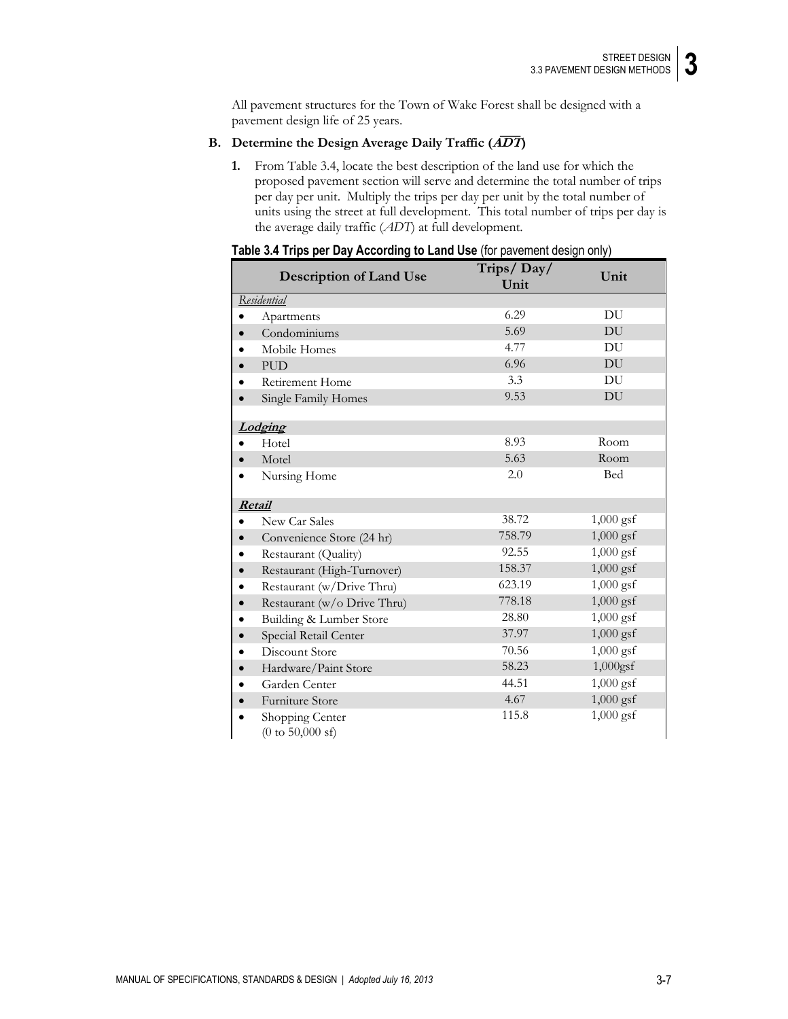All pavement structures for the Town of Wake Forest shall be designed with a pavement design life of 25 years.

# **B. Determine the Design Average Daily Traffic (ADT)**

**1.** From Table 3.4, locate the best description of the land use for which the proposed pavement section will serve and determine the total number of trips per day per unit. Multiply the trips per day per unit by the total number of units using the street at full development. This total number of trips per day is the average daily traffic (*ADT*) at full development.

| able $\sigma$ . This believe buy moderning to Early Obe from pavoling aborger only $\eta$ | Trips/Day/ | Unit        |
|-------------------------------------------------------------------------------------------|------------|-------------|
| <b>Description of Land Use</b>                                                            | Unit       |             |
| Residential                                                                               |            |             |
| Apartments<br>$\bullet$                                                                   | 6.29       | DU          |
| Condominiums                                                                              | 5.69       | DU          |
| Mobile Homes                                                                              | 4.77       | DU          |
| <b>PUD</b>                                                                                | 6.96       | DU          |
| Retirement Home                                                                           | 3.3        | DU          |
| Single Family Homes                                                                       | 9.53       | DU          |
|                                                                                           |            |             |
| Lodging                                                                                   |            |             |
| Hotel                                                                                     | 8.93       | Room        |
| Motel                                                                                     | 5.63       | Room        |
| Nursing Home                                                                              | 2.0        | Bed         |
|                                                                                           |            |             |
| Retail                                                                                    |            |             |
| New Car Sales                                                                             | 38.72      | $1,000$ gsf |
| Convenience Store (24 hr)<br>$\bullet$                                                    | 758.79     | $1,000$ gsf |
| Restaurant (Quality)<br>$\bullet$                                                         | 92.55      | $1,000$ gsf |
| Restaurant (High-Turnover)<br>$\bullet$                                                   | 158.37     | $1,000$ gsf |
| Restaurant (w/Drive Thru)                                                                 | 623.19     | $1,000$ gsf |
| Restaurant (w/o Drive Thru)<br>$\bullet$                                                  | 778.18     | $1,000$ gsf |
| Building & Lumber Store<br>$\bullet$                                                      | 28.80      | $1,000$ gsf |
| Special Retail Center<br>$\bullet$                                                        | 37.97      | $1,000$ gsf |
| Discount Store                                                                            | 70.56      | $1,000$ gsf |
| Hardware/Paint Store                                                                      | 58.23      | $1,000$ gsf |
| Garden Center                                                                             | 44.51      | $1,000$ gsf |
| Furniture Store                                                                           | 4.67       | $1,000$ gsf |
| Shopping Center<br>$(0 \text{ to } 50,000 \text{ sf})$                                    | 115.8      | $1,000$ gsf |

| Table 3.4 Trips per Day According to Land Use (for pavement design only) |  |  |  |  |
|--------------------------------------------------------------------------|--|--|--|--|
|--------------------------------------------------------------------------|--|--|--|--|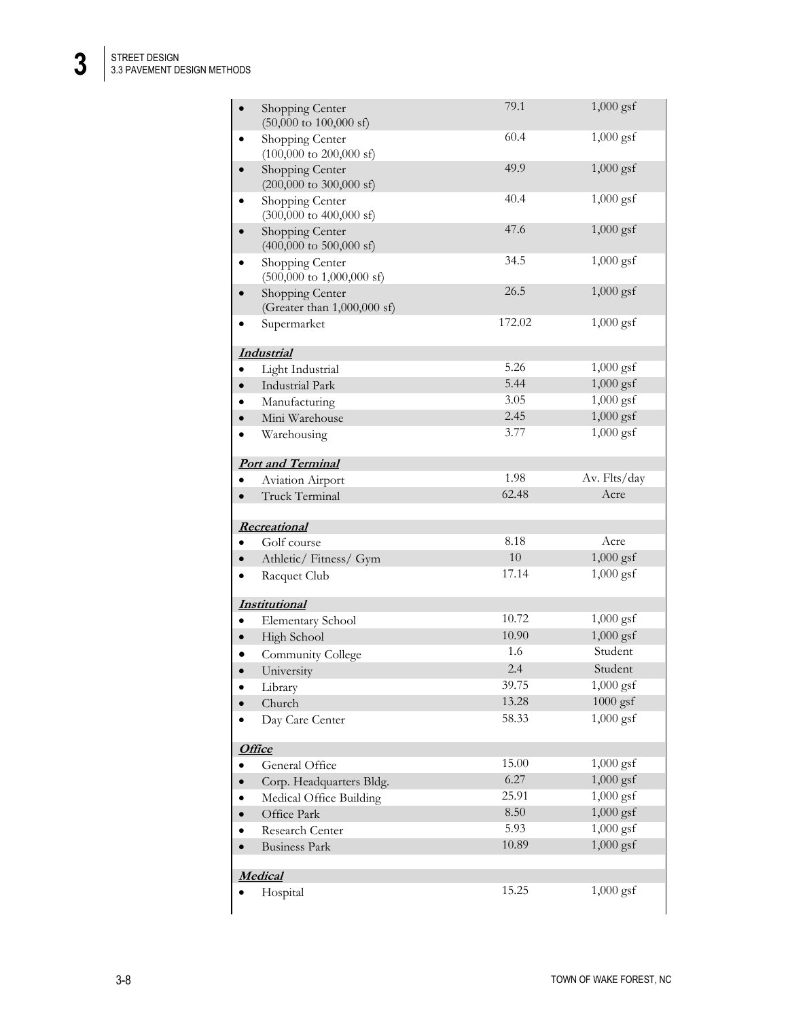**3**

|           | Shopping Center<br>$(50,000 \text{ to } 100,000 \text{ sf})$    | 79.1   | $1,000$ gsf  |  |
|-----------|-----------------------------------------------------------------|--------|--------------|--|
| $\bullet$ | Shopping Center<br>$(100,000 \text{ to } 200,000 \text{ sf})$   | 60.4   | $1,000$ gsf  |  |
|           | Shopping Center<br>$(200,000 \text{ to } 300,000 \text{ sf})$   | 49.9   | $1,000$ gsf  |  |
| $\bullet$ | Shopping Center<br>$(300,000 \text{ to } 400,000 \text{ sf})$   | 40.4   | $1,000$ gsf  |  |
|           | Shopping Center<br>$(400,000 \text{ to } 500,000 \text{ sf})$   | 47.6   | $1,000$ gsf  |  |
| $\bullet$ | Shopping Center<br>$(500,000 \text{ to } 1,000,000 \text{ sf})$ | 34.5   | $1,000$ gsf  |  |
|           | Shopping Center<br>(Greater than 1,000,000 sf)                  | 26.5   | $1,000$ gsf  |  |
|           | Supermarket                                                     | 172.02 | $1,000$ gsf  |  |
|           | <b>Industrial</b>                                               |        |              |  |
|           | Light Industrial                                                | 5.26   | $1,000$ gsf  |  |
|           | <b>Industrial Park</b>                                          | 5.44   | $1,000$ gsf  |  |
|           | Manufacturing                                                   | 3.05   | $1,000$ gsf  |  |
|           | Mini Warehouse                                                  | 2.45   | $1,000$ gsf  |  |
| $\bullet$ | Warehousing                                                     | 3.77   | $1,000$ gsf  |  |
|           | <b>Port and Terminal</b>                                        |        |              |  |
|           | Aviation Airport                                                | 1.98   | Av. Flts/day |  |
| $\bullet$ | Truck Terminal                                                  | 62.48  | Acre         |  |
|           | Recreational                                                    |        |              |  |
| $\bullet$ | Golf course                                                     | 8.18   | Acre         |  |
| $\bullet$ | Athletic/Fitness/Gym                                            | 10     | $1,000$ gsf  |  |
| $\bullet$ | Racquet Club                                                    | 17.14  | $1,000$ gsf  |  |
|           | <b>Institutional</b>                                            |        |              |  |
| $\bullet$ | Elementary School                                               | 10.72  | $1,000$ gsf  |  |
| $\bullet$ | High School                                                     | 10.90  | $1,000$ gsf  |  |
|           | Community College                                               | 1.6    | Student      |  |
|           | University                                                      | 2.4    | Student      |  |
| $\bullet$ | Library                                                         | 39.75  | $1,000$ gsf  |  |
|           | Church                                                          | 13.28  | $1000$ gsf   |  |
|           | Day Care Center                                                 | 58.33  | $1,000$ gsf  |  |
|           | <b>Office</b>                                                   |        |              |  |
|           | General Office                                                  | 15.00  | $1,000$ gsf  |  |
|           | Corp. Headquarters Bldg.                                        | 6.27   | $1,000$ gsf  |  |
|           | Medical Office Building                                         | 25.91  | $1,000$ gsf  |  |
| $\bullet$ | Office Park                                                     | 8.50   | $1,000$ gsf  |  |
| $\bullet$ | Research Center                                                 | 5.93   | $1,000$ gsf  |  |
| $\bullet$ | <b>Business Park</b>                                            | 10.89  | $1,000$ gsf  |  |
| Medical   |                                                                 |        |              |  |
|           |                                                                 |        |              |  |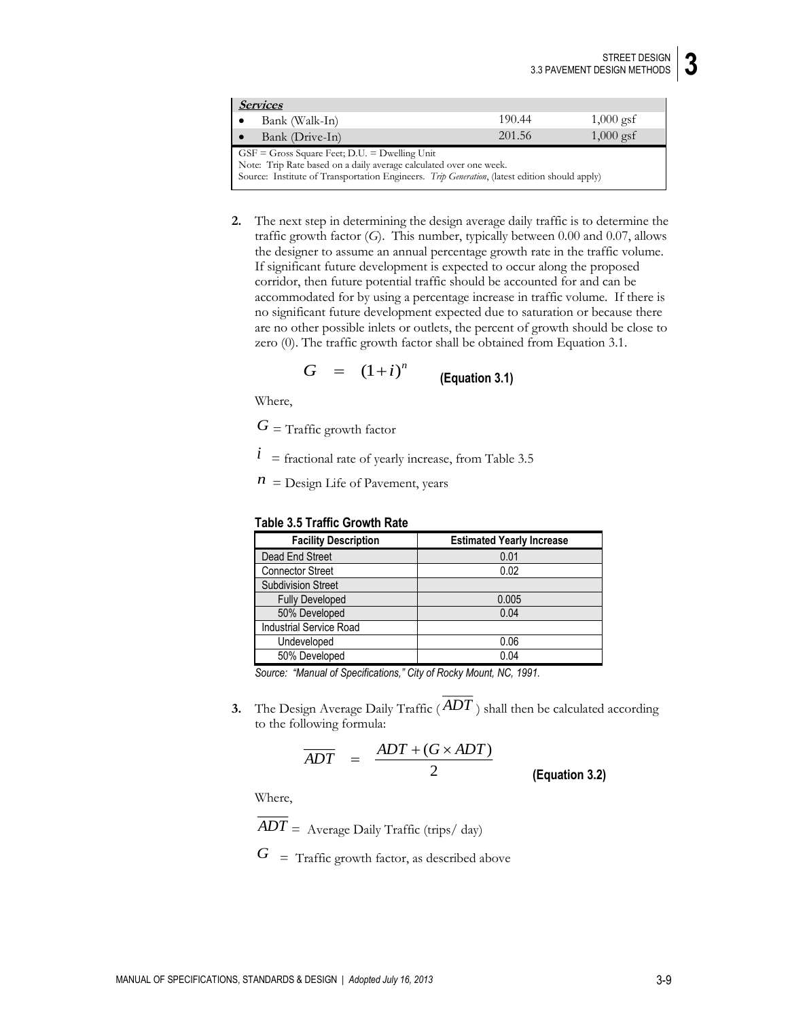| <i>Services</i>                                                                               |        |             |
|-----------------------------------------------------------------------------------------------|--------|-------------|
| Bank (Walk-In)<br>∣ ●                                                                         | 190.44 | $1,000$ gsf |
| Bank (Drive-In)<br>∣ ∙                                                                        | 201.56 | $1,000$ gsf |
| $GSF = Gross Square feet$ ; D.U. = Dwelling Unit                                              |        |             |
| Note: Trip Rate based on a daily average calculated over one week.                            |        |             |
| Source: Institute of Transportation Engineers. Trip Generation, (latest edition should apply) |        |             |

**2.** The next step in determining the design average daily traffic is to determine the traffic growth factor (*G*). This number, typically between 0.00 and 0.07, allows the designer to assume an annual percentage growth rate in the traffic volume. If significant future development is expected to occur along the proposed corridor, then future potential traffic should be accounted for and can be accommodated for by using a percentage increase in traffic volume. If there is no significant future development expected due to saturation or because there are no other possible inlets or outlets, the percent of growth should be close to zero (0). The traffic growth factor shall be obtained from Equation 3.1.

$$
G = (1+i)^n
$$
 (Equation 3.1)

Where,

 $G_{\rm }$  = Traffic growth factor

 $i$  = fractional rate of yearly increase, from Table 3.5

 $n =$  Design Life of Pavement, years

### **Table 3.5 Traffic Growth Rate**

| <b>Facility Description</b> | <b>Estimated Yearly Increase</b> |
|-----------------------------|----------------------------------|
| Dead End Street             | 0.01                             |
| <b>Connector Street</b>     | 0.02                             |
| <b>Subdivision Street</b>   |                                  |
| <b>Fully Developed</b>      | 0.005                            |
| 50% Developed               | 0.04                             |
| Industrial Service Road     |                                  |
| Undeveloped                 | 0.06                             |
| 50% Developed               | 0.04                             |

*Source: "Manual of Specifications," City of Rocky Mount, NC, 1991.*

**3.** The Design Average Daily Traffic ( *ADT* ) shall then be calculated according to the following formula:

$$
\overline{ADT} = \frac{ADT + (G \times ADT)}{2}
$$
 (Equation 3.2)

Where,

*ADT* = Average Daily Traffic (trips/ day)

*<sup>G</sup>* = Traffic growth factor, as described above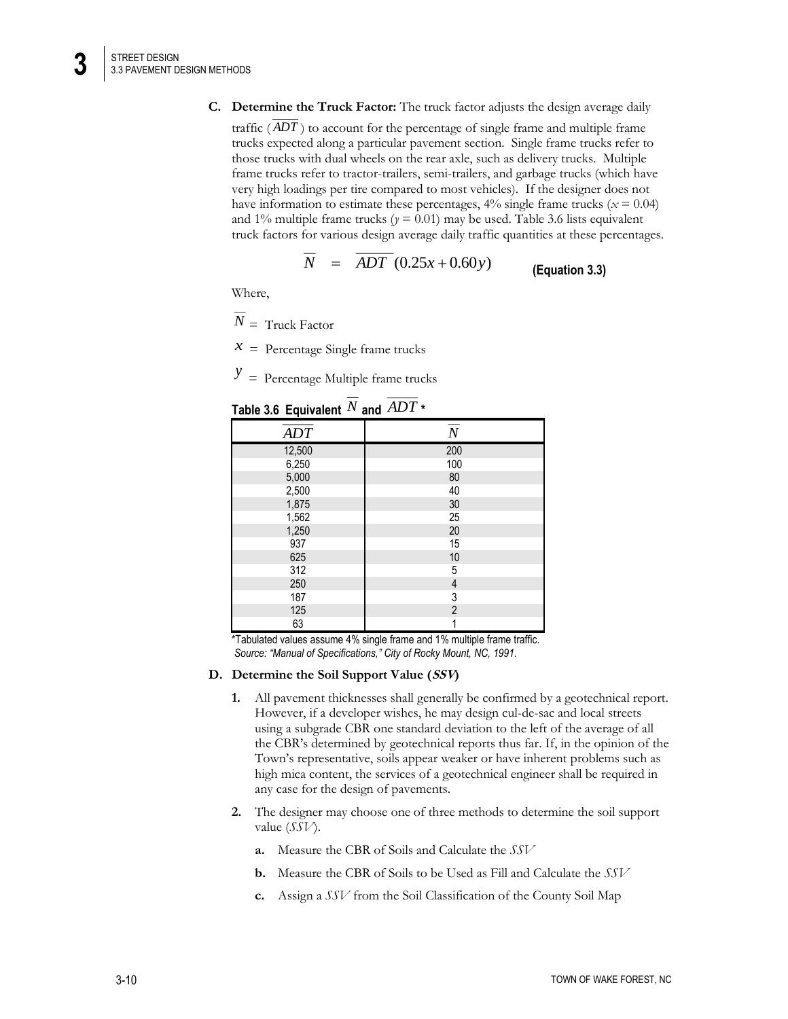- **C. Determine the Truck Factor:** The truck factor adjusts the design average daily
	- traffic ( *ADT* ) to account for the percentage of single frame and multiple frame trucks expected along a particular pavement section. Single frame trucks refer to those trucks with dual wheels on the rear axle, such as delivery trucks. Multiple frame trucks refer to tractor-trailers, semi-trailers, and garbage trucks (which have very high loadings per tire compared to most vehicles). If the designer does not have information to estimate these percentages,  $4\%$  single frame trucks ( $x = 0.04$ ) and 1% multiple frame trucks ( $y = 0.01$ ) may be used. Table 3.6 lists equivalent truck factors for various design average daily traffic quantities at these percentages.

$$
N = ADT (0.25x + 0.60y)
$$
 (Equation 3.3)

Where,

 $\overline{N}$  = Truck Factor

 $x =$  Percentage Single frame trucks

 $y =$  Percentage Multiple frame trucks

| rapic J.V Lyurvaicht | $q_{\rm H}$ $\sim$ |
|----------------------|--------------------|
| ADT                  | $\cal N$           |
| 12,500               | 200                |
| 6,250                | 100                |
| 5,000                | 80                 |
| 2,500                | 40                 |
| 1,875                | 30                 |
| 1,562                | 25                 |
| 1,250                | 20                 |
| 937                  | 15                 |
| 625                  | 10                 |
| 312                  | 5                  |
| 250                  | 4                  |
| 187                  | 3                  |
| 125                  | $\overline{2}$     |
| 63                   |                    |

Table 3.6 <code>Equivalent</code>  $^N$  and  $ADT$   $^*$ 

\*Tabulated values assume 4% single frame and 1% multiple frame traffic. *Source: "Manual of Specifications," City of Rocky Mount, NC, 1991.*

#### **D. Determine the Soil Support Value (SSV)**

- **1.** All pavement thicknesses shall generally be confirmed by a geotechnical report. However, if a developer wishes, he may design cul-de-sac and local streets using a subgrade CBR one standard deviation to the left of the average of all the CBR's determined by geotechnical reports thus far. If, in the opinion of the Town's representative, soils appear weaker or have inherent problems such as high mica content, the services of a geotechnical engineer shall be required in any case for the design of pavements.
- **2.** The designer may choose one of three methods to determine the soil support value (*SSV*).
	- **a.** Measure the CBR of Soils and Calculate the *SSV*
	- **b.** Measure the CBR of Soils to be Used as Fill and Calculate the *SSV*
	- **c.** Assign a *SSV* from the Soil Classification of the County Soil Map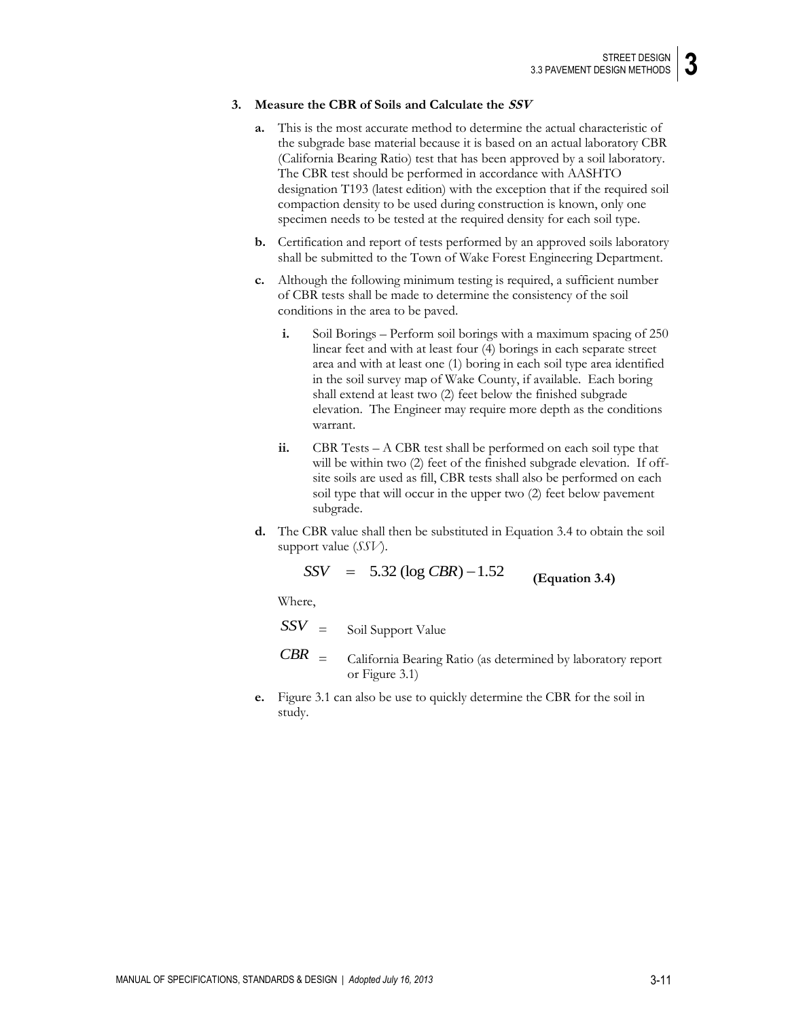#### **3. Measure the CBR of Soils and Calculate the SSV**

- **a.** This is the most accurate method to determine the actual characteristic of the subgrade base material because it is based on an actual laboratory CBR (California Bearing Ratio) test that has been approved by a soil laboratory. The CBR test should be performed in accordance with AASHTO designation T193 (latest edition) with the exception that if the required soil compaction density to be used during construction is known, only one specimen needs to be tested at the required density for each soil type.
- **b.** Certification and report of tests performed by an approved soils laboratory shall be submitted to the Town of Wake Forest Engineering Department.
- **c.** Although the following minimum testing is required, a sufficient number of CBR tests shall be made to determine the consistency of the soil conditions in the area to be paved.
	- **i.** Soil Borings Perform soil borings with a maximum spacing of 250 linear feet and with at least four (4) borings in each separate street area and with at least one (1) boring in each soil type area identified in the soil survey map of Wake County, if available. Each boring shall extend at least two (2) feet below the finished subgrade elevation. The Engineer may require more depth as the conditions warrant.
	- **ii.** CBR Tests A CBR test shall be performed on each soil type that will be within two (2) feet of the finished subgrade elevation. If offsite soils are used as fill, CBR tests shall also be performed on each soil type that will occur in the upper two (2) feet below pavement subgrade.
- **d.** The CBR value shall then be substituted in Equation 3.4 to obtain the soil support value (*SSV*).

$$
SSV = 5.32 (log CBR) - 1.52
$$
 (Equation 3.4)

Where,

- $SSV =$  Soil Support Value
- *CBR* = California Bearing Ratio (as determined by laboratory report or Figure 3.1)
- **e.** Figure 3.1 can also be use to quickly determine the CBR for the soil in study.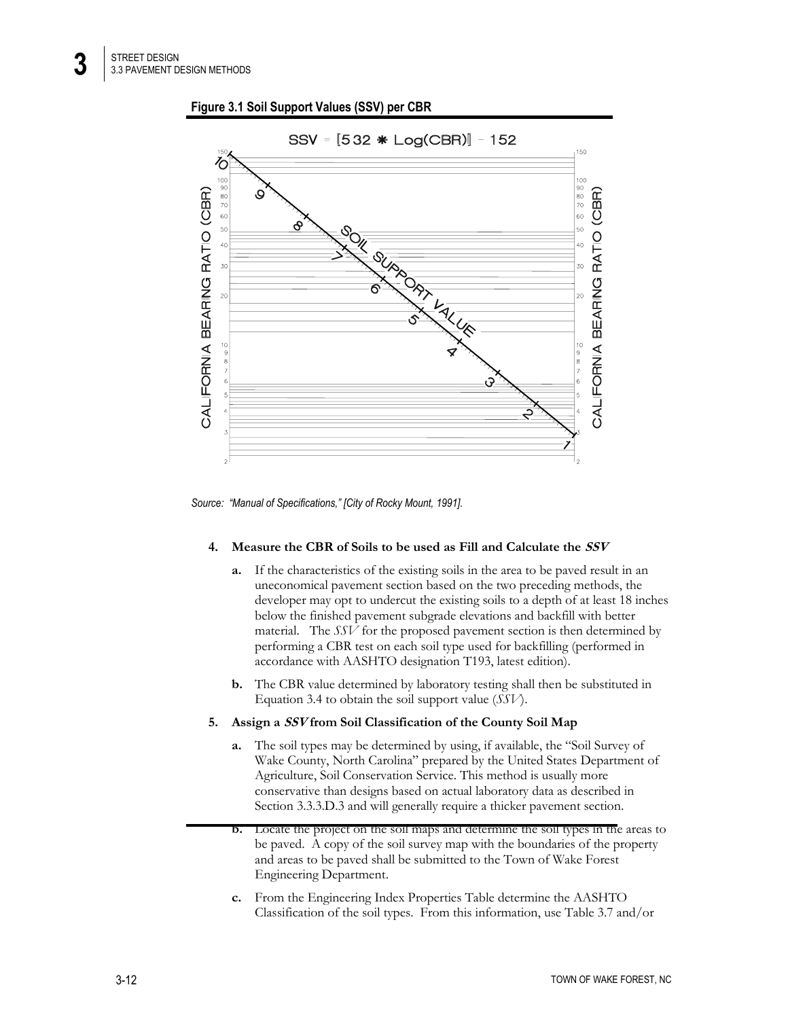**Figure 3.1 Soil Support Values (SSV) per CBR**



*Source: "Manual of Specifications," [City of Rocky Mount, 1991].*

### **4. Measure the CBR of Soils to be used as Fill and Calculate the SSV**

- **a.** If the characteristics of the existing soils in the area to be paved result in an uneconomical pavement section based on the two preceding methods, the developer may opt to undercut the existing soils to a depth of at least 18 inches below the finished pavement subgrade elevations and backfill with better material. The *SSV* for the proposed pavement section is then determined by performing a CBR test on each soil type used for backfilling (performed in accordance with AASHTO designation T193, latest edition).
- **b.** The CBR value determined by laboratory testing shall then be substituted in Equation 3.4 to obtain the soil support value (*SSV*).

### **5. Assign a SSV from Soil Classification of the County Soil Map**

- **a.** The soil types may be determined by using, if available, the "Soil Survey of Wake County, North Carolina" prepared by the United States Department of Agriculture, Soil Conservation Service. This method is usually more conservative than designs based on actual laboratory data as described in Section 3.3.3.D.3 and will generally require a thicker pavement section.
- **b.** Locate the project on the soil maps and determine the soil types in the areas to be paved. A copy of the soil survey map with the boundaries of the property and areas to be paved shall be submitted to the Town of Wake Forest Engineering Department.
- **c.** From the Engineering Index Properties Table determine the AASHTO Classification of the soil types. From this information, use Table 3.7 and/or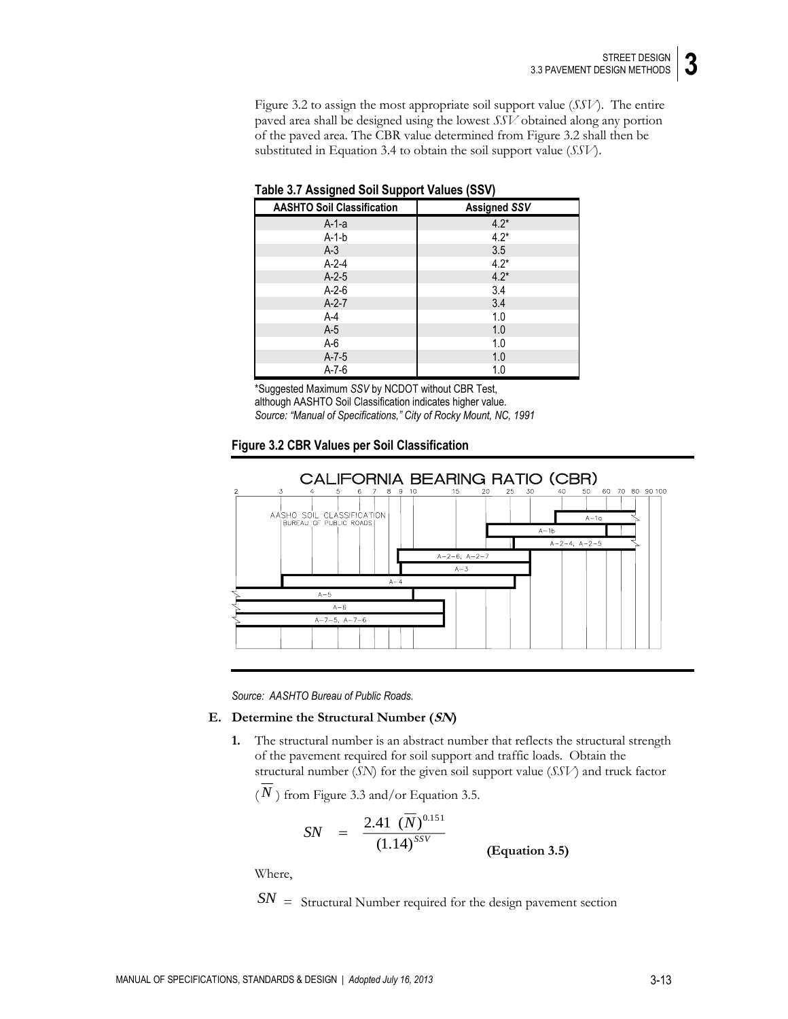Figure 3.2 to assign the most appropriate soil support value (*SSV*). The entire paved area shall be designed using the lowest *SSV* obtained along any portion of the paved area. The CBR value determined from Figure 3.2 shall then be substituted in Equation 3.4 to obtain the soil support value (*SSV*).

| <b>AASHTO Soil Classification</b> | <b>Assigned SSV</b> |
|-----------------------------------|---------------------|
| A-1-a                             | $4.2*$              |
| $A-1-b$                           | $4.2*$              |
| $A-3$                             | 3.5                 |
| $A-2-4$                           | $4.2*$              |
| $A-2-5$                           | $4.2*$              |
| $A-2-6$                           | 3.4                 |
| $A-2-7$                           | 3.4                 |
| $A-4$                             | 1.0                 |
| $A-5$                             | 1.0                 |
| $A-6$                             | 1.0                 |
| $A - 7 - 5$                       | 1.0                 |
| $A - 7 - 6$                       | 1.0                 |

**Table 3.7 Assigned Soil Support Values (SSV)**

\*Suggested Maximum *SSV* by NCDOT without CBR Test, although AASHTO Soil Classification indicates higher value. *Source: "Manual of Specifications," City of Rocky Mount, NC, 1991*





*Source: AASHTO Bureau of Public Roads.*

#### **E. Determine the Structural Number (SN)**

**1.** The structural number is an abstract number that reflects the structural strength of the pavement required for soil support and traffic loads. Obtain the structural number (*SN*) for the given soil support value (*SSV*) and truck factor

 $(N)$  from Figure 3.3 and/or Equation 3.5.

$$
SN = \frac{2.41 \ (\overline{N})^{0.151}}{(1.14)^{SSV}}
$$
 (Equation 3.5)

Where,

*SN* <sup>=</sup> Structural Number required for the design pavement section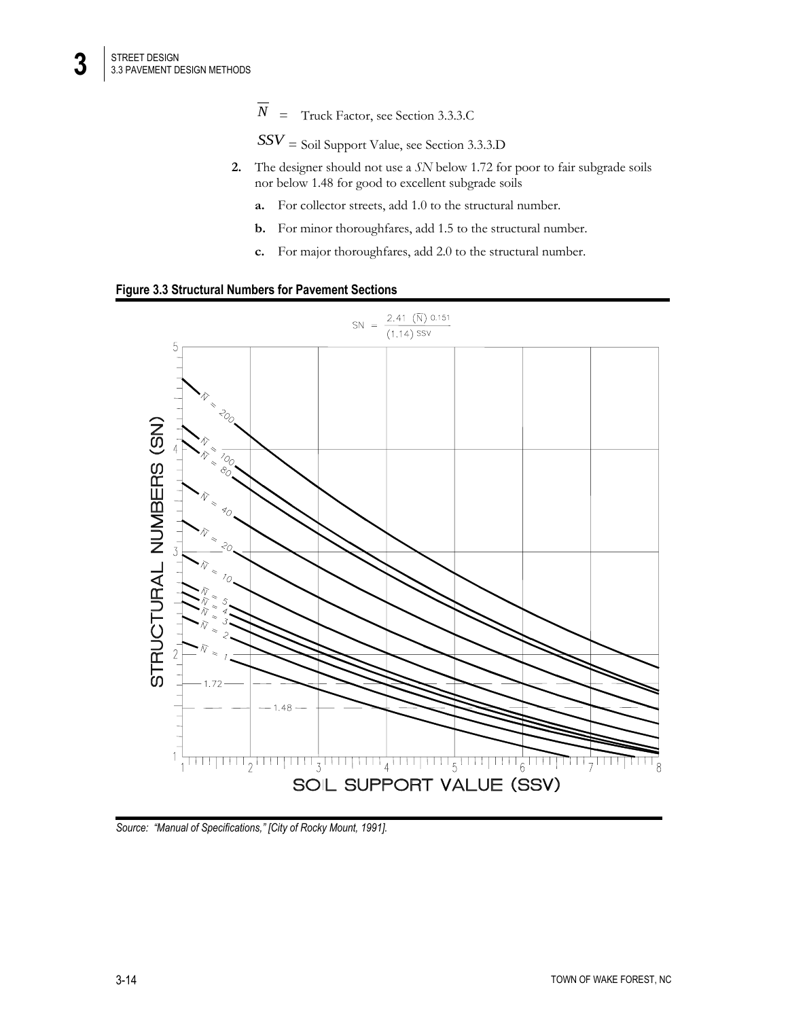*SSV* = Soil Support Value, see Section 3.3.3.D

- **2.** The designer should not use a *SN* below 1.72 for poor to fair subgrade soils nor below 1.48 for good to excellent subgrade soils
	- **a.** For collector streets, add 1.0 to the structural number.
	- **b.** For minor thoroughfares, add 1.5 to the structural number.
	- **c.** For major thoroughfares, add 2.0 to the structural number.





*Source: "Manual of Specifications," [City of Rocky Mount, 1991].*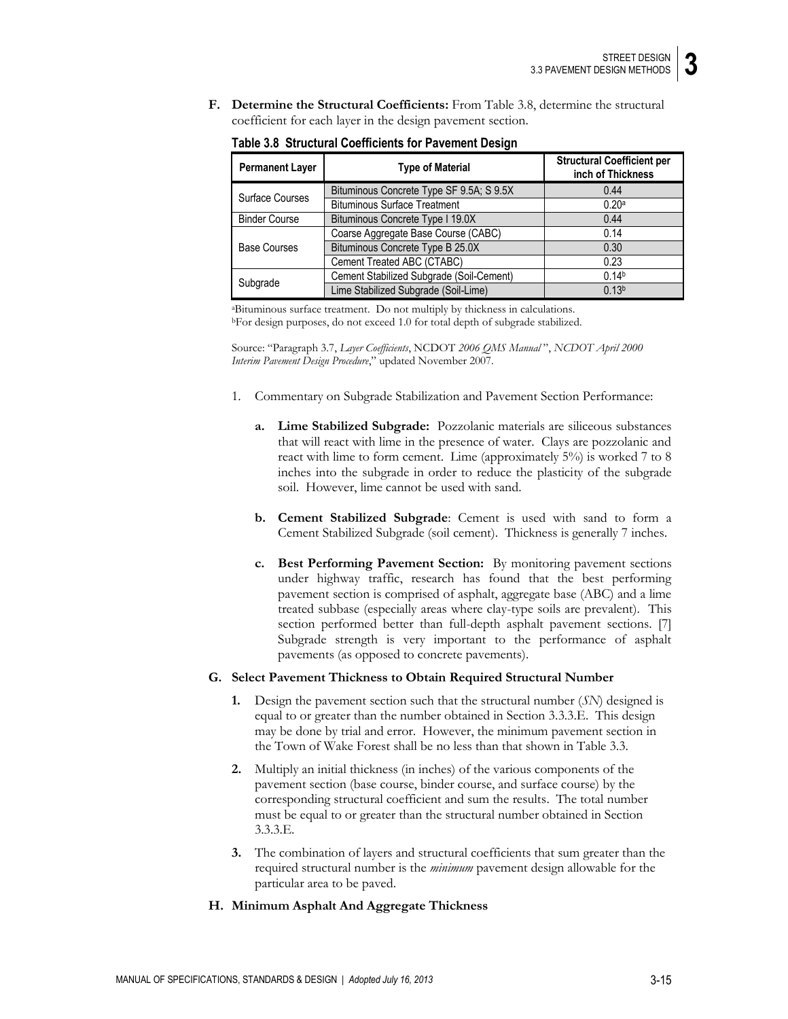**F. Determine the Structural Coefficients:** From Table 3.8, determine the structural coefficient for each layer in the design pavement section.

| <b>Permanent Layer</b> | <b>Type of Material</b>                  | <b>Structural Coefficient per</b><br>inch of Thickness |
|------------------------|------------------------------------------|--------------------------------------------------------|
|                        | Bituminous Concrete Type SF 9.5A; S 9.5X | 0.44                                                   |
| Surface Courses        | <b>Bituminous Surface Treatment</b>      | 0.20a                                                  |
| <b>Binder Course</b>   | Bituminous Concrete Type I 19.0X         | 0.44                                                   |
|                        | Coarse Aggregate Base Course (CABC)      | 0.14                                                   |
| <b>Base Courses</b>    | Bituminous Concrete Type B 25.0X         | 0.30                                                   |
|                        | Cement Treated ABC (CTABC)               | 0.23                                                   |
| Subgrade               | Cement Stabilized Subgrade (Soil-Cement) | 0.14 <sup>b</sup>                                      |
|                        | Lime Stabilized Subgrade (Soil-Lime)     | 0.13 <sup>b</sup>                                      |

**Table 3.8 Structural Coefficients for Pavement Design**

<sup>a</sup>Bituminous surface treatment. Do not multiply by thickness in calculations. <sup>b</sup>For design purposes, do not exceed 1.0 for total depth of subgrade stabilized.

Source: "Paragraph 3.7, *Layer Coefficients*, NCDOT *2006 QMS Manual* ", *NCDOT April 2000 Interim Pavement Design Procedure*," updated November 2007.

- 1. Commentary on Subgrade Stabilization and Pavement Section Performance:
	- **a. Lime Stabilized Subgrade:** Pozzolanic materials are siliceous substances that will react with lime in the presence of water. Clays are pozzolanic and react with lime to form cement. Lime (approximately 5%) is worked 7 to 8 inches into the subgrade in order to reduce the plasticity of the subgrade soil. However, lime cannot be used with sand.
	- **b. Cement Stabilized Subgrade**: Cement is used with sand to form a Cement Stabilized Subgrade (soil cement). Thickness is generally 7 inches.
	- **c. Best Performing Pavement Section:** By monitoring pavement sections under highway traffic, research has found that the best performing pavement section is comprised of asphalt, aggregate base (ABC) and a lime treated subbase (especially areas where clay-type soils are prevalent). This section performed better than full-depth asphalt pavement sections. [7] Subgrade strength is very important to the performance of asphalt pavements (as opposed to concrete pavements).

### **G. Select Pavement Thickness to Obtain Required Structural Number**

- **1.** Design the pavement section such that the structural number (*SN*) designed is equal to or greater than the number obtained in Section 3.3.3.E. This design may be done by trial and error. However, the minimum pavement section in the Town of Wake Forest shall be no less than that shown in Table 3.3.
- **2.** Multiply an initial thickness (in inches) of the various components of the pavement section (base course, binder course, and surface course) by the corresponding structural coefficient and sum the results. The total number must be equal to or greater than the structural number obtained in Section 3.3.3.E.
- **3.** The combination of layers and structural coefficients that sum greater than the required structural number is the *minimum* pavement design allowable for the particular area to be paved.

# **H. Minimum Asphalt And Aggregate Thickness**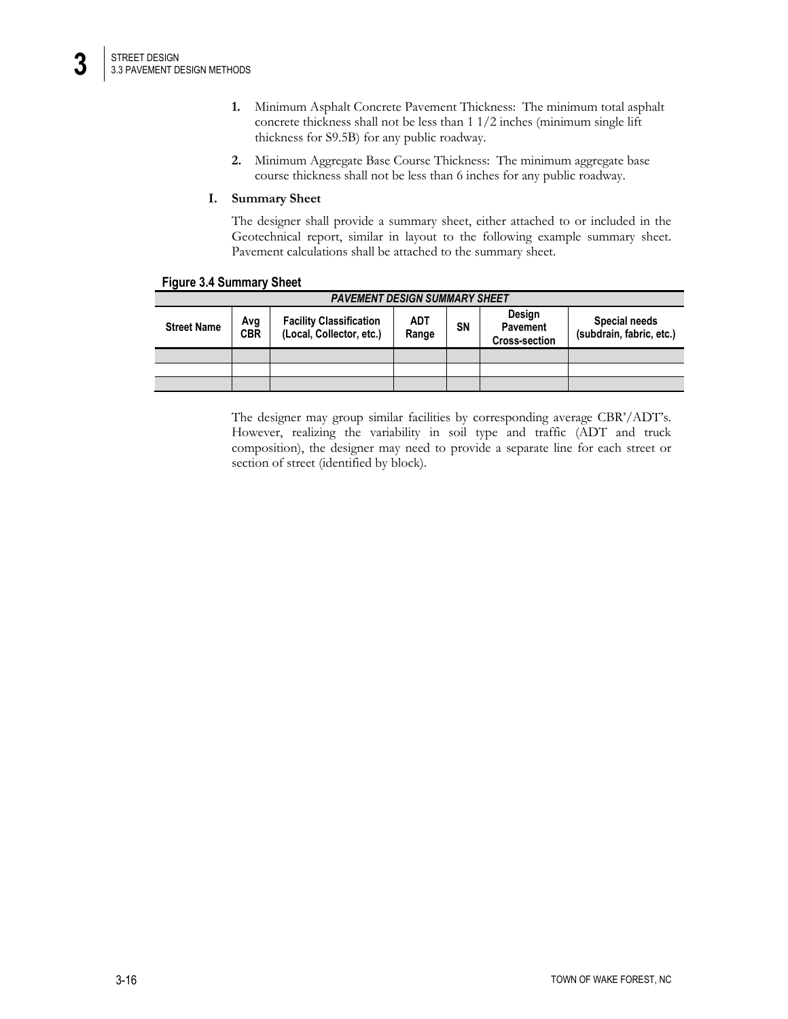- **1.** Minimum Asphalt Concrete Pavement Thickness: The minimum total asphalt concrete thickness shall not be less than 1 1/2 inches (minimum single lift thickness for S9.5B) for any public roadway.
- **2.** Minimum Aggregate Base Course Thickness: The minimum aggregate base course thickness shall not be less than 6 inches for any public roadway.

### **I. Summary Sheet**

The designer shall provide a summary sheet, either attached to or included in the Geotechnical report, similar in layout to the following example summary sheet. Pavement calculations shall be attached to the summary sheet.

| <b>PAVEMENT DESIGN SUMMARY SHEET</b> |                   |                                                            |              |    |                                                   |                                           |
|--------------------------------------|-------------------|------------------------------------------------------------|--------------|----|---------------------------------------------------|-------------------------------------------|
| <b>Street Name</b>                   | Avg<br><b>CBR</b> | <b>Facility Classification</b><br>(Local, Collector, etc.) | ADT<br>Range | SΝ | Design<br><b>Pavement</b><br><b>Cross-section</b> | Special needs<br>(subdrain, fabric, etc.) |
|                                      |                   |                                                            |              |    |                                                   |                                           |
|                                      |                   |                                                            |              |    |                                                   |                                           |
|                                      |                   |                                                            |              |    |                                                   |                                           |

The designer may group similar facilities by corresponding average CBR'/ADT's. However, realizing the variability in soil type and traffic (ADT and truck composition), the designer may need to provide a separate line for each street or section of street (identified by block).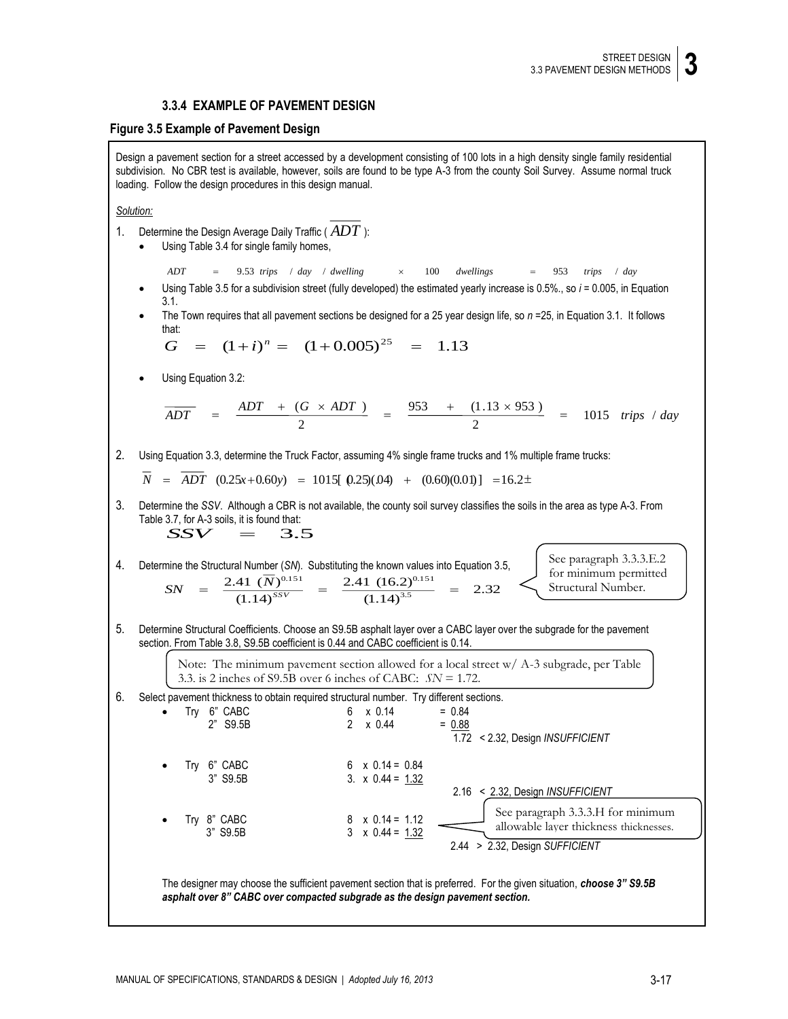# **3.3.4 EXAMPLE OF PAVEMENT DESIGN**

### **Figure 3.5 Example of Pavement Design**

Design a pavement section for a street accessed by a development consisting of 100 lots in a high density single family residential subdivision. No CBR test is available, however, soils are found to be type A-3 from the county Soil Survey. Assume normal truck loading. Follow the design procedures in this design manual.

#### *Solution:*

- 1. Determine the Design Average Daily Traffic ( $ADT$  ):
	- Using Table 3.4 for single family homes,

*ADT* 9.53 *trips* / *day* / *dwelling* 100 *dwellings* 953 *trips* / *day*

- Using Table 3.5 for a subdivision street (fully developed) the estimated yearly increase is 0.5%., so *i* = 0.005, in Equation 3.1.
- The Town requires that all pavement sections be designed for a 25 year design life, so *n* =25, in Equation 3.1. It follows that:

$$
G = (1+i)^n = (1+0.005)^{25} = 1.13
$$

Using Equation 3.2:

$$
\overline{ADT} = \frac{ADT + (G \times ADT)}{2} = \frac{953 + (1.13 \times 953)}{2} = 1015 \text{ trips } / day
$$

2. Using Equation 3.3, determine the Truck Factor, assuming 4% single frame trucks and 1% multiple frame trucks:

 $N = ADT (0.25x+0.60y) = 1015[ 0.25(0.04) + (0.60)(0.01)] = 16.2\pm$ 

- 3. Determine the *SSV*. Although a CBR is not available, the county soil survey classifies the soils in the area as type A-3. From Table 3.7, for A-3 soils, it is found that:  $SSV = 3.5$
- 4. Determine the Structural Number (*SN*). Substituting the known values into Equation 3.5, 2.32  $(1.14)^{3.5}$  $2.41 \ (16.2)^{0.151}$  $(1.14)^{ssv}$ 2.41 (*N*) = *SN*

See paragraph 3.3.3.E.2 for minimum permitted Structural Number.

5. Determine Structural Coefficients. Choose an S9.5B asphalt layer over a CABC layer over the subgrade for the pavement section. From Table 3.8, S9.5B coefficient is 0.44 and CABC coefficient is 0.14.

> Note: The minimum pavement section allowed for a local street  $w/A$ -3 subgrade, per Table 3.3, is 2 inches of S9.5B over 6 inches of CABC; *SN* = 1.72.



The designer may choose the sufficient pavement section that is preferred. For the given situation, *choose 3" S9.5B asphalt over 8" CABC over compacted subgrade as the design pavement section.*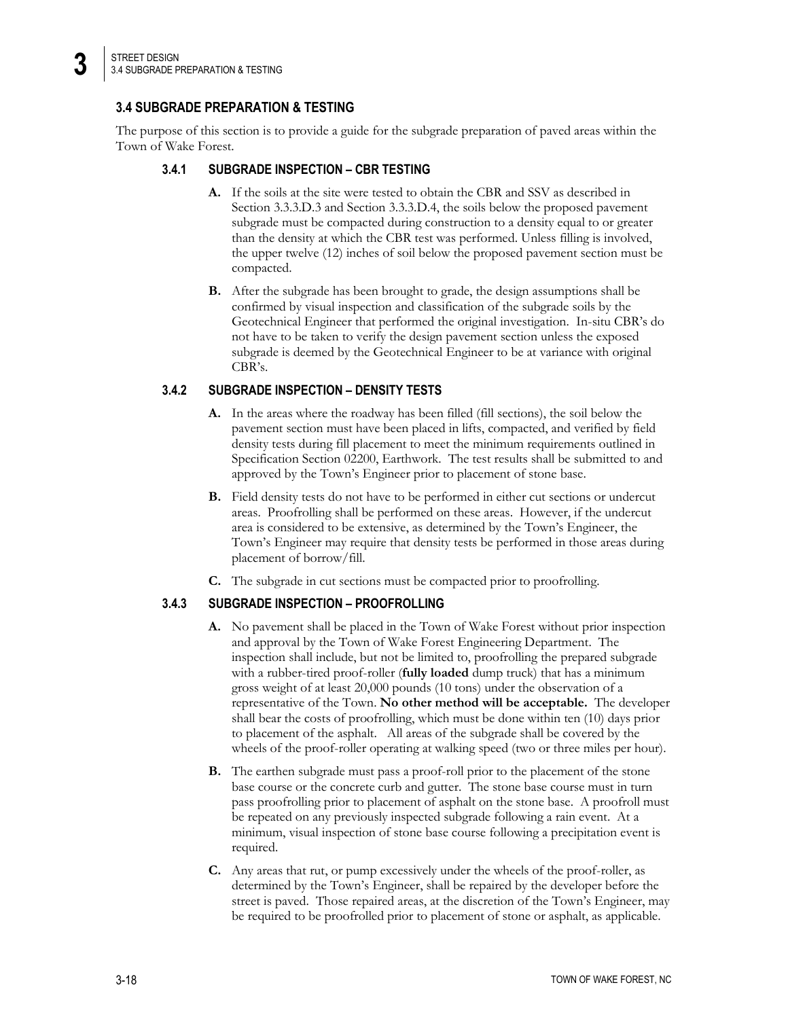**3**

# **3.4 SUBGRADE PREPARATION & TESTING**

The purpose of this section is to provide a guide for the subgrade preparation of paved areas within the Town of Wake Forest.

# **3.4.1 SUBGRADE INSPECTION – CBR TESTING**

- **A.** If the soils at the site were tested to obtain the CBR and SSV as described in Section 3.3.3.D.3 and Section 3.3.3.D.4, the soils below the proposed pavement subgrade must be compacted during construction to a density equal to or greater than the density at which the CBR test was performed. Unless filling is involved, the upper twelve (12) inches of soil below the proposed pavement section must be compacted.
- **B.** After the subgrade has been brought to grade, the design assumptions shall be confirmed by visual inspection and classification of the subgrade soils by the Geotechnical Engineer that performed the original investigation. In-situ CBR's do not have to be taken to verify the design pavement section unless the exposed subgrade is deemed by the Geotechnical Engineer to be at variance with original CBR's.

# **3.4.2 SUBGRADE INSPECTION – DENSITY TESTS**

- **A.** In the areas where the roadway has been filled (fill sections), the soil below the pavement section must have been placed in lifts, compacted, and verified by field density tests during fill placement to meet the minimum requirements outlined in Specification Section 02200, Earthwork. The test results shall be submitted to and approved by the Town's Engineer prior to placement of stone base.
- **B.** Field density tests do not have to be performed in either cut sections or undercut areas. Proofrolling shall be performed on these areas. However, if the undercut area is considered to be extensive, as determined by the Town's Engineer, the Town's Engineer may require that density tests be performed in those areas during placement of borrow/fill.
- **C.** The subgrade in cut sections must be compacted prior to proofrolling.

# **3.4.3 SUBGRADE INSPECTION – PROOFROLLING**

- **A.** No pavement shall be placed in the Town of Wake Forest without prior inspection and approval by the Town of Wake Forest Engineering Department. The inspection shall include, but not be limited to, proofrolling the prepared subgrade with a rubber-tired proof-roller (**fully loaded** dump truck) that has a minimum gross weight of at least 20,000 pounds (10 tons) under the observation of a representative of the Town. **No other method will be acceptable.** The developer shall bear the costs of proofrolling, which must be done within ten (10) days prior to placement of the asphalt. All areas of the subgrade shall be covered by the wheels of the proof-roller operating at walking speed (two or three miles per hour).
- **B.** The earthen subgrade must pass a proof-roll prior to the placement of the stone base course or the concrete curb and gutter. The stone base course must in turn pass proofrolling prior to placement of asphalt on the stone base. A proofroll must be repeated on any previously inspected subgrade following a rain event. At a minimum, visual inspection of stone base course following a precipitation event is required.
- **C.** Any areas that rut, or pump excessively under the wheels of the proof-roller, as determined by the Town's Engineer, shall be repaired by the developer before the street is paved. Those repaired areas, at the discretion of the Town's Engineer, may be required to be proofrolled prior to placement of stone or asphalt, as applicable.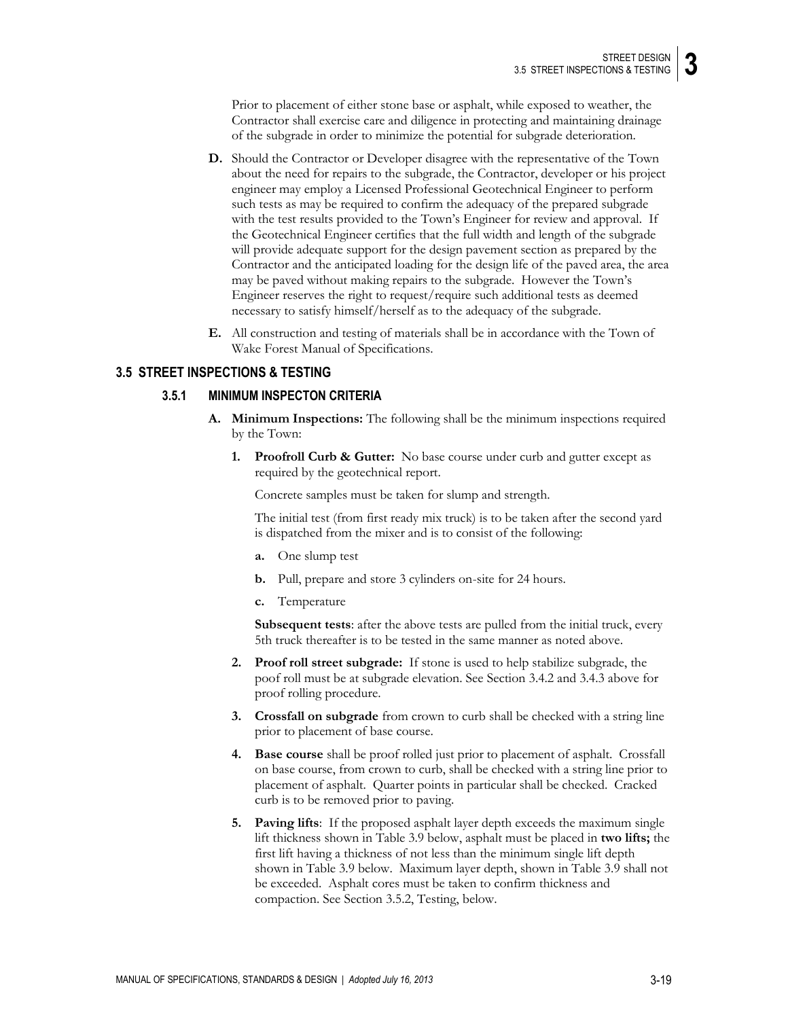Prior to placement of either stone base or asphalt, while exposed to weather, the Contractor shall exercise care and diligence in protecting and maintaining drainage of the subgrade in order to minimize the potential for subgrade deterioration.

- **D.** Should the Contractor or Developer disagree with the representative of the Town about the need for repairs to the subgrade, the Contractor, developer or his project engineer may employ a Licensed Professional Geotechnical Engineer to perform such tests as may be required to confirm the adequacy of the prepared subgrade with the test results provided to the Town's Engineer for review and approval. If the Geotechnical Engineer certifies that the full width and length of the subgrade will provide adequate support for the design pavement section as prepared by the Contractor and the anticipated loading for the design life of the paved area, the area may be paved without making repairs to the subgrade. However the Town's Engineer reserves the right to request/require such additional tests as deemed necessary to satisfy himself/herself as to the adequacy of the subgrade.
- **E.** All construction and testing of materials shall be in accordance with the Town of Wake Forest Manual of Specifications.

# **3.5 STREET INSPECTIONS & TESTING**

# **3.5.1 MINIMUM INSPECTON CRITERIA**

- **A. Minimum Inspections:** The following shall be the minimum inspections required by the Town:
	- **1. Proofroll Curb & Gutter:** No base course under curb and gutter except as required by the geotechnical report.

Concrete samples must be taken for slump and strength.

The initial test (from first ready mix truck) is to be taken after the second yard is dispatched from the mixer and is to consist of the following:

- **a.** One slump test
- **b.** Pull, prepare and store 3 cylinders on-site for 24 hours.
- **c.** Temperature

**Subsequent tests**: after the above tests are pulled from the initial truck, every 5th truck thereafter is to be tested in the same manner as noted above.

- **2. Proof roll street subgrade:** If stone is used to help stabilize subgrade, the poof roll must be at subgrade elevation. See Section 3.4.2 and 3.4.3 above for proof rolling procedure.
- **3. Crossfall on subgrade** from crown to curb shall be checked with a string line prior to placement of base course.
- **4. Base course** shall be proof rolled just prior to placement of asphalt. Crossfall on base course, from crown to curb, shall be checked with a string line prior to placement of asphalt. Quarter points in particular shall be checked. Cracked curb is to be removed prior to paving.
- **5. Paving lifts**: If the proposed asphalt layer depth exceeds the maximum single lift thickness shown in Table 3.9 below, asphalt must be placed in **two lifts;** the first lift having a thickness of not less than the minimum single lift depth shown in Table 3.9 below. Maximum layer depth, shown in Table 3.9 shall not be exceeded. Asphalt cores must be taken to confirm thickness and compaction. See Section 3.5.2, Testing, below.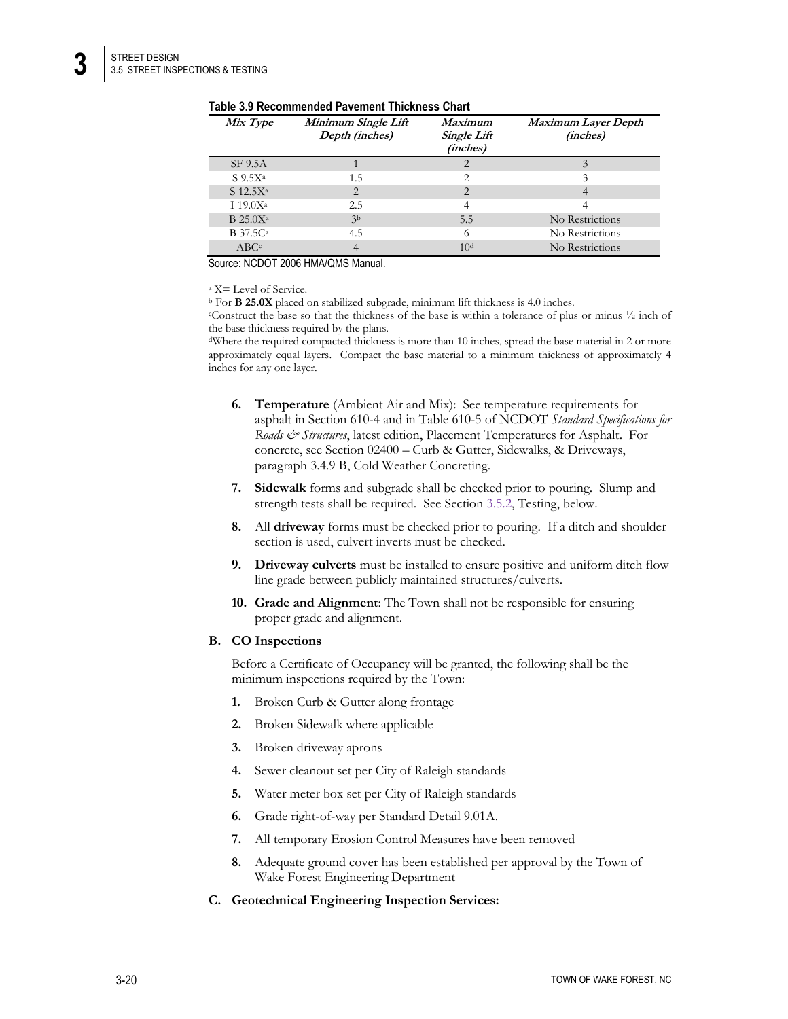**3**

| Table 3.9 Recommended Pavement Thickness Chart |  |  |
|------------------------------------------------|--|--|
|------------------------------------------------|--|--|

| Mix Type                    | Minimum Single Lift<br>Depth (inches) | <b>Maximum</b><br><b>Single Lift</b><br>(inches) | Maximum Layer Depth<br>(inches) |
|-----------------------------|---------------------------------------|--------------------------------------------------|---------------------------------|
| SF 9.5A                     |                                       | $\overline{2}$                                   | 3                               |
| $S_{9.5}X^a$                | 1.5                                   | 2                                                |                                 |
| $S$ 12.5 $X^a$              | $\overline{2}$                        | $\overline{2}$                                   |                                 |
| $119.0X^a$                  | 2.5                                   | 4                                                |                                 |
| $B$ 25.0 $X^a$              | 3 <sub>b</sub>                        | 5.5                                              | No Restrictions                 |
| <b>B</b> 37.5C <sup>a</sup> | 4.5                                   | 6                                                | No Restrictions                 |
| ABC <sup>c</sup>            | 4                                     | 10 <sup>d</sup>                                  | No Restrictions                 |

Source: NCDOT 2006 HMA/QMS Manual.

<sup>a</sup> X= Level of Service.

<sup>b</sup> For **B 25.0X** placed on stabilized subgrade, minimum lift thickness is 4.0 inches.

<sup>c</sup>Construct the base so that the thickness of the base is within a tolerance of plus or minus ½ inch of the base thickness required by the plans.

<sup>d</sup>Where the required compacted thickness is more than 10 inches, spread the base material in 2 or more approximately equal layers. Compact the base material to a minimum thickness of approximately 4 inches for any one layer.

- **6. Temperature** (Ambient Air and Mix): See temperature requirements for asphalt in Section 610-4 and in Table 610-5 of NCDOT *Standard Specifications for Roads & Structures*, latest edition, Placement Temperatures for Asphalt. For concrete, see Section 02400 – Curb & Gutter, Sidewalks, & Driveways, paragraph 3.4.9 B, Cold Weather Concreting.
- **7. Sidewalk** forms and subgrade shall be checked prior to pouring. Slump and strength tests shall be required. See Section 3.5.2, Testing, below.
- **8.** All **driveway** forms must be checked prior to pouring. If a ditch and shoulder section is used, culvert inverts must be checked.
- **9. Driveway culverts** must be installed to ensure positive and uniform ditch flow line grade between publicly maintained structures/culverts.
- **10. Grade and Alignment**: The Town shall not be responsible for ensuring proper grade and alignment.

#### **B. CO Inspections**

Before a Certificate of Occupancy will be granted, the following shall be the minimum inspections required by the Town:

- **1.** Broken Curb & Gutter along frontage
- **2.** Broken Sidewalk where applicable
- **3.** Broken driveway aprons
- **4.** Sewer cleanout set per City of Raleigh standards
- **5.** Water meter box set per City of Raleigh standards
- **6.** Grade right-of-way per Standard Detail 9.01A.
- **7.** All temporary Erosion Control Measures have been removed
- **8.** Adequate ground cover has been established per approval by the Town of Wake Forest Engineering Department

### **C. Geotechnical Engineering Inspection Services:**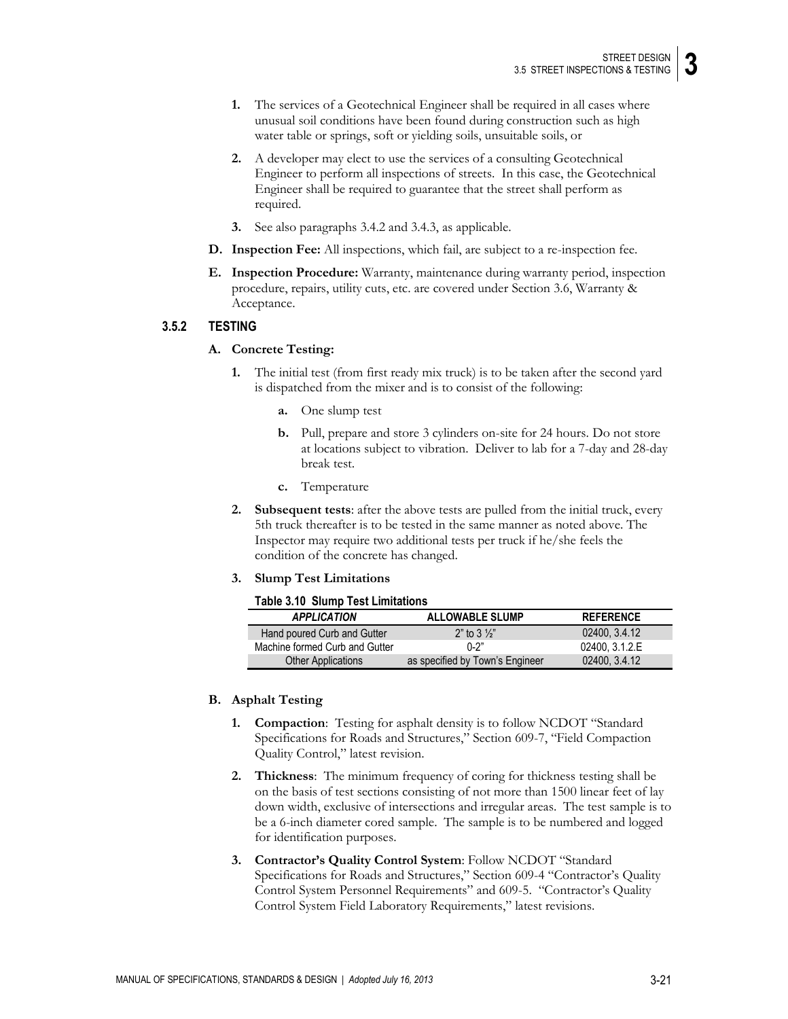- **1.** The services of a Geotechnical Engineer shall be required in all cases where unusual soil conditions have been found during construction such as high water table or springs, soft or yielding soils, unsuitable soils, or
- **2.** A developer may elect to use the services of a consulting Geotechnical Engineer to perform all inspections of streets. In this case, the Geotechnical Engineer shall be required to guarantee that the street shall perform as required.
- **3.** See also paragraphs 3.4.2 and 3.4.3, as applicable.
- **D. Inspection Fee:** All inspections, which fail, are subject to a re-inspection fee.
- **E. Inspection Procedure:** Warranty, maintenance during warranty period, inspection procedure, repairs, utility cuts, etc. are covered under Section 3.6, Warranty & Acceptance.

### **3.5.2 TESTING**

#### **A. Concrete Testing:**

- **1.** The initial test (from first ready mix truck) is to be taken after the second yard is dispatched from the mixer and is to consist of the following:
	- **a.** One slump test
	- **b.** Pull, prepare and store 3 cylinders on-site for 24 hours. Do not store at locations subject to vibration. Deliver to lab for a 7-day and 28-day break test.
	- **c.** Temperature
- **2. Subsequent tests**: after the above tests are pulled from the initial truck, every 5th truck thereafter is to be tested in the same manner as noted above. The Inspector may require two additional tests per truck if he/she feels the condition of the concrete has changed.
- **3. Slump Test Limitations**

#### **Table 3.10 Slump Test Limitations**

| <b>APPLICATION</b>             | <b>ALLOWABLE SLUMP</b>          | <b>REFERENCE</b> |
|--------------------------------|---------------------------------|------------------|
| Hand poured Curb and Gutter    | $2"$ to 3 $\frac{1}{2}"$        | 02400, 3.4.12    |
| Machine formed Curb and Gutter | $0 - 2$ "                       | 02400, 3.1.2.E   |
| <b>Other Applications</b>      | as specified by Town's Engineer | 02400, 3.4.12    |

#### **B. Asphalt Testing**

- **1. Compaction**: Testing for asphalt density is to follow NCDOT "Standard Specifications for Roads and Structures," Section 609-7, "Field Compaction Quality Control," latest revision.
- **2. Thickness**: The minimum frequency of coring for thickness testing shall be on the basis of test sections consisting of not more than 1500 linear feet of lay down width, exclusive of intersections and irregular areas. The test sample is to be a 6-inch diameter cored sample. The sample is to be numbered and logged for identification purposes.
- **3. Contractor's Quality Control System**: Follow NCDOT "Standard Specifications for Roads and Structures," Section 609-4 "Contractor's Quality Control System Personnel Requirements" and 609-5. "Contractor's Quality Control System Field Laboratory Requirements," latest revisions.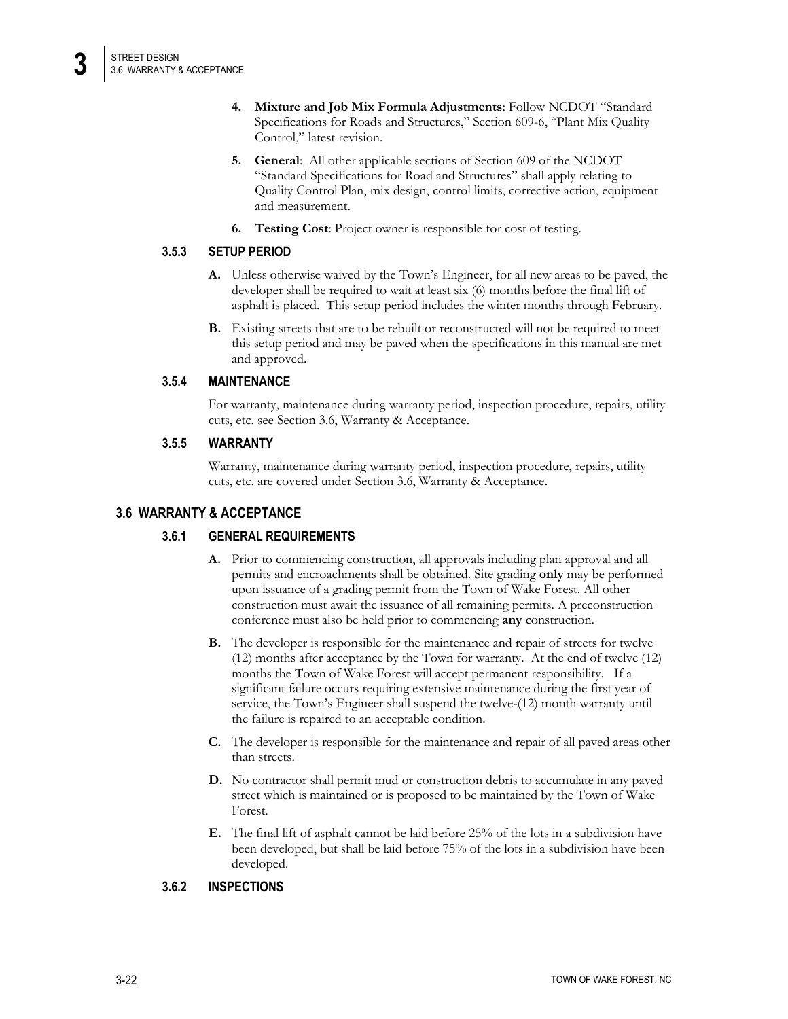- **4. Mixture and Job Mix Formula Adjustments**: Follow NCDOT "Standard Specifications for Roads and Structures," Section 609-6, "Plant Mix Quality Control," latest revision.
- **5. General**: All other applicable sections of Section 609 of the NCDOT "Standard Specifications for Road and Structures" shall apply relating to Quality Control Plan, mix design, control limits, corrective action, equipment and measurement.
- **6. Testing Cost**: Project owner is responsible for cost of testing.

### **3.5.3 SETUP PERIOD**

- **A.** Unless otherwise waived by the Town's Engineer, for all new areas to be paved, the developer shall be required to wait at least six (6) months before the final lift of asphalt is placed. This setup period includes the winter months through February.
- **B.** Existing streets that are to be rebuilt or reconstructed will not be required to meet this setup period and may be paved when the specifications in this manual are met and approved.

# **3.5.4 MAINTENANCE**

For warranty, maintenance during warranty period, inspection procedure, repairs, utility cuts, etc. see Section 3.6, Warranty & Acceptance.

# **3.5.5 WARRANTY**

Warranty, maintenance during warranty period, inspection procedure, repairs, utility cuts, etc. are covered under Section 3.6, Warranty & Acceptance.

# **3.6 WARRANTY & ACCEPTANCE**

# **3.6.1 GENERAL REQUIREMENTS**

- **A.** Prior to commencing construction, all approvals including plan approval and all permits and encroachments shall be obtained. Site grading **only** may be performed upon issuance of a grading permit from the Town of Wake Forest. All other construction must await the issuance of all remaining permits. A preconstruction conference must also be held prior to commencing **any** construction.
- **B.** The developer is responsible for the maintenance and repair of streets for twelve (12) months after acceptance by the Town for warranty. At the end of twelve (12) months the Town of Wake Forest will accept permanent responsibility. If a significant failure occurs requiring extensive maintenance during the first year of service, the Town's Engineer shall suspend the twelve-(12) month warranty until the failure is repaired to an acceptable condition.
- **C.** The developer is responsible for the maintenance and repair of all paved areas other than streets.
- **D.** No contractor shall permit mud or construction debris to accumulate in any paved street which is maintained or is proposed to be maintained by the Town of Wake Forest.
- **E.** The final lift of asphalt cannot be laid before 25% of the lots in a subdivision have been developed, but shall be laid before 75% of the lots in a subdivision have been developed.

### **3.6.2 INSPECTIONS**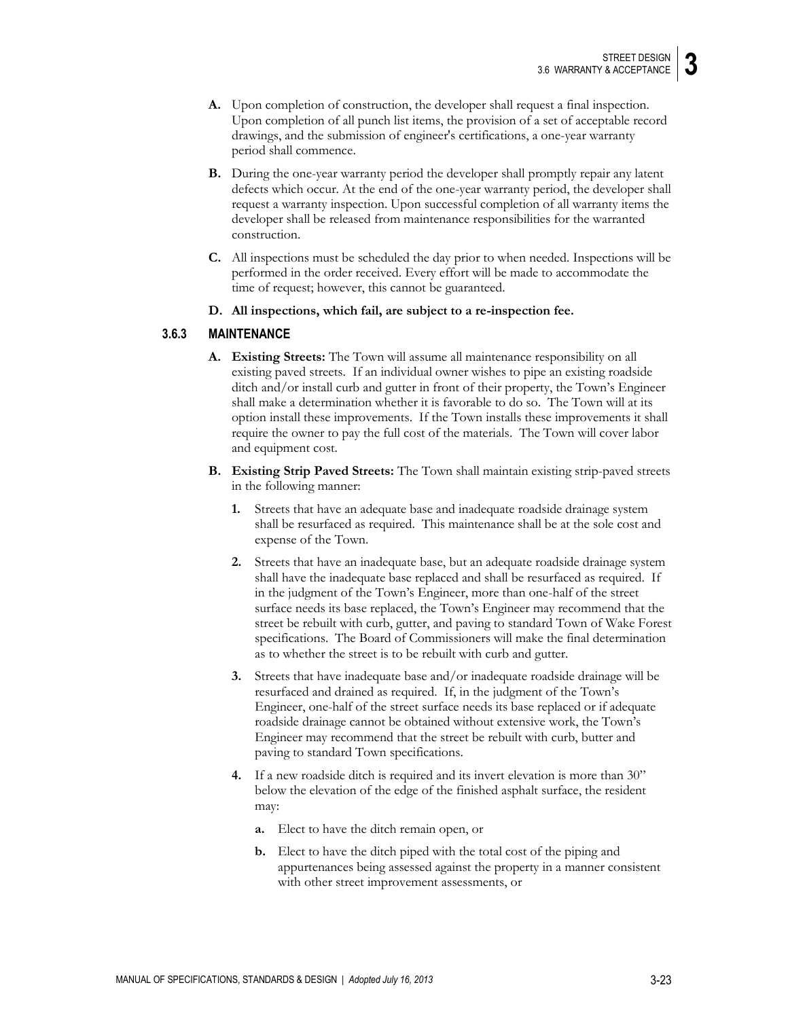- **A.** Upon completion of construction, the developer shall request a final inspection. Upon completion of all punch list items, the provision of a set of acceptable record drawings, and the submission of engineer's certifications, a one-year warranty period shall commence.
- **B.** During the one-year warranty period the developer shall promptly repair any latent defects which occur. At the end of the one-year warranty period, the developer shall request a warranty inspection. Upon successful completion of all warranty items the developer shall be released from maintenance responsibilities for the warranted construction.
- **C.** All inspections must be scheduled the day prior to when needed. Inspections will be performed in the order received. Every effort will be made to accommodate the time of request; however, this cannot be guaranteed.
- **D. All inspections, which fail, are subject to a re-inspection fee.**

# **3.6.3 MAINTENANCE**

- **A. Existing Streets:** The Town will assume all maintenance responsibility on all existing paved streets. If an individual owner wishes to pipe an existing roadside ditch and/or install curb and gutter in front of their property, the Town's Engineer shall make a determination whether it is favorable to do so. The Town will at its option install these improvements. If the Town installs these improvements it shall require the owner to pay the full cost of the materials. The Town will cover labor and equipment cost.
- **B. Existing Strip Paved Streets:** The Town shall maintain existing strip-paved streets in the following manner:
	- **1.** Streets that have an adequate base and inadequate roadside drainage system shall be resurfaced as required. This maintenance shall be at the sole cost and expense of the Town.
	- **2.** Streets that have an inadequate base, but an adequate roadside drainage system shall have the inadequate base replaced and shall be resurfaced as required. If in the judgment of the Town's Engineer, more than one-half of the street surface needs its base replaced, the Town's Engineer may recommend that the street be rebuilt with curb, gutter, and paving to standard Town of Wake Forest specifications. The Board of Commissioners will make the final determination as to whether the street is to be rebuilt with curb and gutter.
	- **3.** Streets that have inadequate base and/or inadequate roadside drainage will be resurfaced and drained as required. If, in the judgment of the Town's Engineer, one-half of the street surface needs its base replaced or if adequate roadside drainage cannot be obtained without extensive work, the Town's Engineer may recommend that the street be rebuilt with curb, butter and paving to standard Town specifications.
	- **4.** If a new roadside ditch is required and its invert elevation is more than 30" below the elevation of the edge of the finished asphalt surface, the resident may:
		- **a.** Elect to have the ditch remain open, or
		- **b.** Elect to have the ditch piped with the total cost of the piping and appurtenances being assessed against the property in a manner consistent with other street improvement assessments, or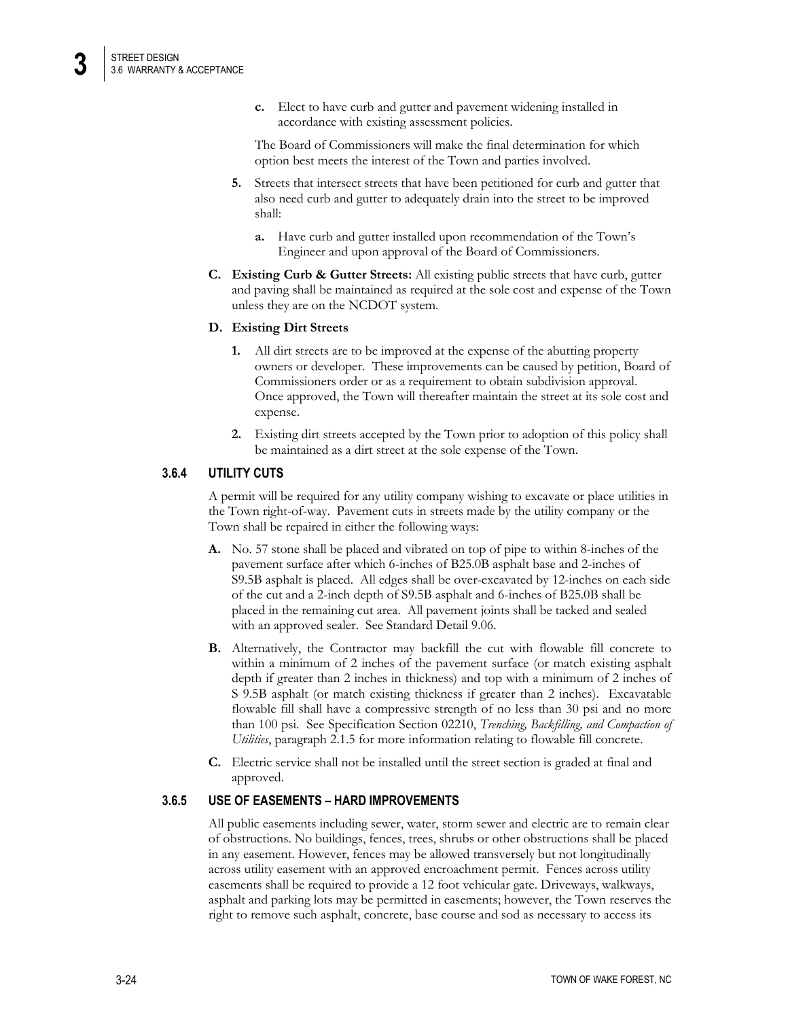**c.** Elect to have curb and gutter and pavement widening installed in accordance with existing assessment policies.

The Board of Commissioners will make the final determination for which option best meets the interest of the Town and parties involved.

- **5.** Streets that intersect streets that have been petitioned for curb and gutter that also need curb and gutter to adequately drain into the street to be improved shall:
	- **a.** Have curb and gutter installed upon recommendation of the Town's Engineer and upon approval of the Board of Commissioners.
- **C. Existing Curb & Gutter Streets:** All existing public streets that have curb, gutter and paving shall be maintained as required at the sole cost and expense of the Town unless they are on the NCDOT system.

#### **D. Existing Dirt Streets**

- **1.** All dirt streets are to be improved at the expense of the abutting property owners or developer. These improvements can be caused by petition, Board of Commissioners order or as a requirement to obtain subdivision approval. Once approved, the Town will thereafter maintain the street at its sole cost and expense.
- **2.** Existing dirt streets accepted by the Town prior to adoption of this policy shall be maintained as a dirt street at the sole expense of the Town.

# **3.6.4 UTILITY CUTS**

A permit will be required for any utility company wishing to excavate or place utilities in the Town right-of-way. Pavement cuts in streets made by the utility company or the Town shall be repaired in either the following ways:

- **A.** No. 57 stone shall be placed and vibrated on top of pipe to within 8-inches of the pavement surface after which 6-inches of B25.0B asphalt base and 2-inches of S9.5B asphalt is placed. All edges shall be over-excavated by 12-inches on each side of the cut and a 2-inch depth of S9.5B asphalt and 6-inches of B25.0B shall be placed in the remaining cut area. All pavement joints shall be tacked and sealed with an approved sealer. See Standard Detail 9.06.
- **B.** Alternatively, the Contractor may backfill the cut with flowable fill concrete to within a minimum of 2 inches of the pavement surface (or match existing asphalt depth if greater than 2 inches in thickness) and top with a minimum of 2 inches of S 9.5B asphalt (or match existing thickness if greater than 2 inches). Excavatable flowable fill shall have a compressive strength of no less than 30 psi and no more than 100 psi. See Specification Section 02210, *Trenching, Backfilling, and Compaction of Utilities*, paragraph 2.1.5 for more information relating to flowable fill concrete.
- **C.** Electric service shall not be installed until the street section is graded at final and approved.

### **3.6.5 USE OF EASEMENTS – HARD IMPROVEMENTS**

All public easements including sewer, water, storm sewer and electric are to remain clear of obstructions. No buildings, fences, trees, shrubs or other obstructions shall be placed in any easement. However, fences may be allowed transversely but not longitudinally across utility easement with an approved encroachment permit. Fences across utility easements shall be required to provide a 12 foot vehicular gate. Driveways, walkways, asphalt and parking lots may be permitted in easements; however, the Town reserves the right to remove such asphalt, concrete, base course and sod as necessary to access its